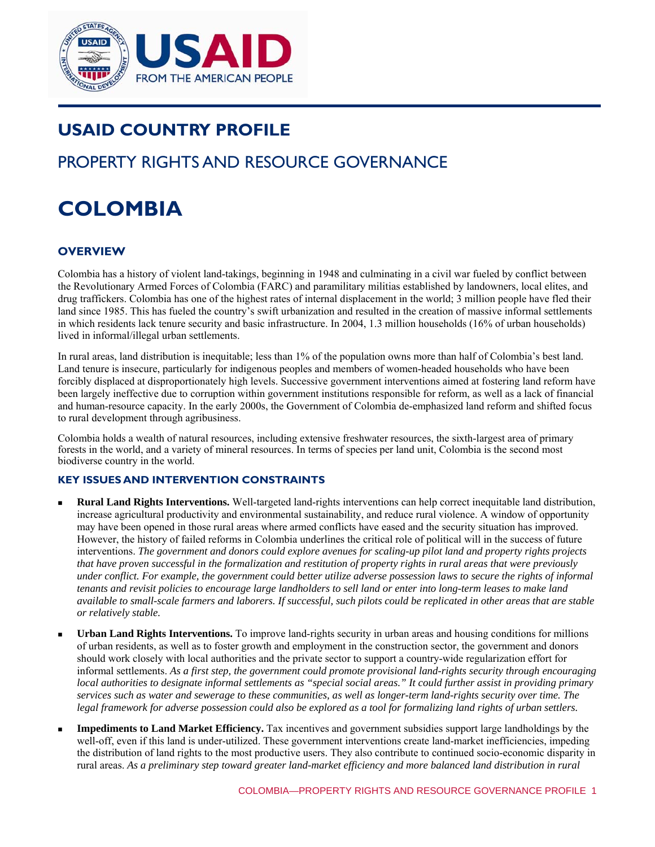

# **USAID COUNTRY PROFILE**

# PROPERTY RIGHTS AND RESOURCE GOVERNANCE

# **COLOMBIA**

# **OVERVIEW**

Colombia has a history of violent land-takings, beginning in 1948 and culminating in a civil war fueled by conflict between the Revolutionary Armed Forces of Colombia (FARC) and paramilitary militias established by landowners, local elites, and drug traffickers. Colombia has one of the highest rates of internal displacement in the world; 3 million people have fled their land since 1985. This has fueled the country's swift urbanization and resulted in the creation of massive informal settlements in which residents lack tenure security and basic infrastructure. In 2004, 1.3 million households (16% of urban households) lived in informal/illegal urban settlements.

In rural areas, land distribution is inequitable; less than 1% of the population owns more than half of Colombia's best land. Land tenure is insecure, particularly for indigenous peoples and members of women-headed households who have been forcibly displaced at disproportionately high levels. Successive government interventions aimed at fostering land reform have been largely ineffective due to corruption within government institutions responsible for reform, as well as a lack of financial and human-resource capacity. In the early 2000s, the Government of Colombia de-emphasized land reform and shifted focus to rural development through agribusiness.

Colombia holds a wealth of natural resources, including extensive freshwater resources, the sixth-largest area of primary forests in the world, and a variety of mineral resources. In terms of species per land unit, Colombia is the second most biodiverse country in the world.

# **KEY ISSUES AND INTERVENTION CONSTRAINTS**

- **Rural Land Rights Interventions.** Well-targeted land-rights interventions can help correct inequitable land distribution, increase agricultural productivity and environmental sustainability, and reduce rural violence. A window of opportunity may have been opened in those rural areas where armed conflicts have eased and the security situation has improved. However, the history of failed reforms in Colombia underlines the critical role of political will in the success of future interventions. *The government and donors could explore avenues for scaling-up pilot land and property rights projects that have proven successful in the formalization and restitution of property rights in rural areas that were previously under conflict. For example, the government could better utilize adverse possession laws to secure the rights of informal tenants and revisit policies to encourage large landholders to sell land or enter into long-term leases to make land available to small-scale farmers and laborers. If successful, such pilots could be replicated in other areas that are stable or relatively stable.*
- **Urban Land Rights Interventions.** To improve land-rights security in urban areas and housing conditions for millions of urban residents, as well as to foster growth and employment in the construction sector, the government and donors should work closely with local authorities and the private sector to support a country-wide regularization effort for informal settlements. *As a first step, the government could promote provisional land-rights security through encouraging local authorities to designate informal settlements as "special social areas." It could further assist in providing primary services such as water and sewerage to these communities, as well as longer-term land-rights security over time. The legal framework for adverse possession could also be explored as a tool for formalizing land rights of urban settlers.*
- **Impediments to Land Market Efficiency.** Tax incentives and government subsidies support large landholdings by the well-off, even if this land is under-utilized. These government interventions create land-market inefficiencies, impeding the distribution of land rights to the most productive users. They also contribute to continued socio-economic disparity in rural areas. *As a preliminary step toward greater land-market efficiency and more balanced land distribution in rural*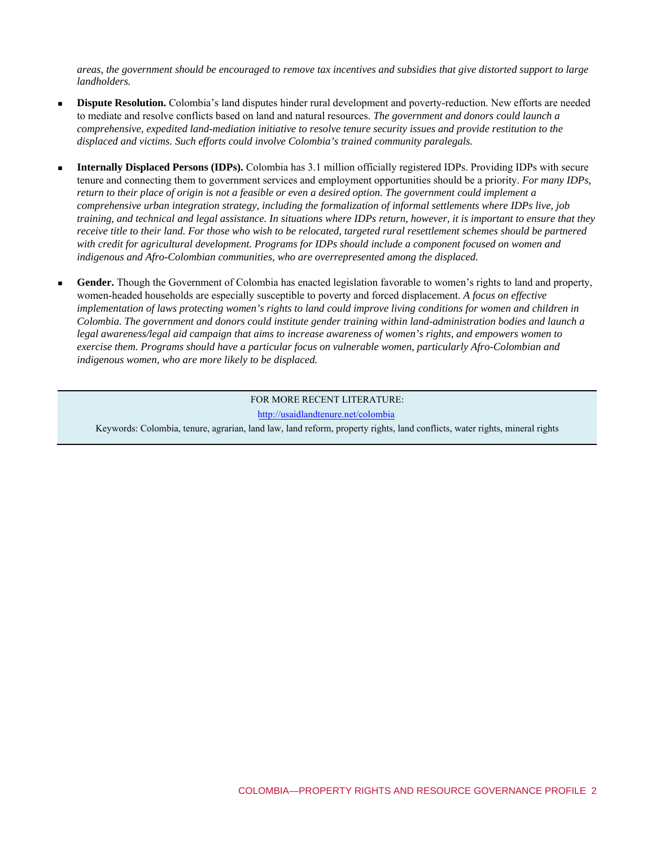*areas, the government should be encouraged to remove tax incentives and subsidies that give distorted support to large landholders.* 

- **Dispute Resolution.** Colombia's land disputes hinder rural development and poverty-reduction. New efforts are needed to mediate and resolve conflicts based on land and natural resources. *The government and donors could launch a comprehensive, expedited land-mediation initiative to resolve tenure security issues and provide restitution to the displaced and victims. Such efforts could involve Colombia's trained community paralegals.*
- **Internally Displaced Persons (IDPs).** Colombia has 3.1 million officially registered IDPs. Providing IDPs with secure tenure and connecting them to government services and employment opportunities should be a priority. *For many IDPs, return to their place of origin is not a feasible or even a desired option. The government could implement a comprehensive urban integration strategy, including the formalization of informal settlements where IDPs live, job training, and technical and legal assistance. In situations where IDPs return, however, it is important to ensure that they receive title to their land. For those who wish to be relocated, targeted rural resettlement schemes should be partnered with credit for agricultural development. Programs for IDPs should include a component focused on women and indigenous and Afro-Colombian communities, who are overrepresented among the displaced.*
- **Gender.** Though the Government of Colombia has enacted legislation favorable to women's rights to land and property, women-headed households are especially susceptible to poverty and forced displacement. *A focus on effective implementation of laws protecting women's rights to land could improve living conditions for women and children in Colombia. The government and donors could institute gender training within land-administration bodies and launch a legal awareness/legal aid campaign that aims to increase awareness of women's rights, and empowers women to exercise them. Programs should have a particular focus on vulnerable women, particularly Afro-Colombian and indigenous women, who are more likely to be displaced.*

#### FOR MORE RECENT LITERATURE: <http://usaidlandtenure.net/colombia>

Keywords: Colombia, tenure, agrarian, land law, land reform, property rights, land conflicts, water rights, mineral rights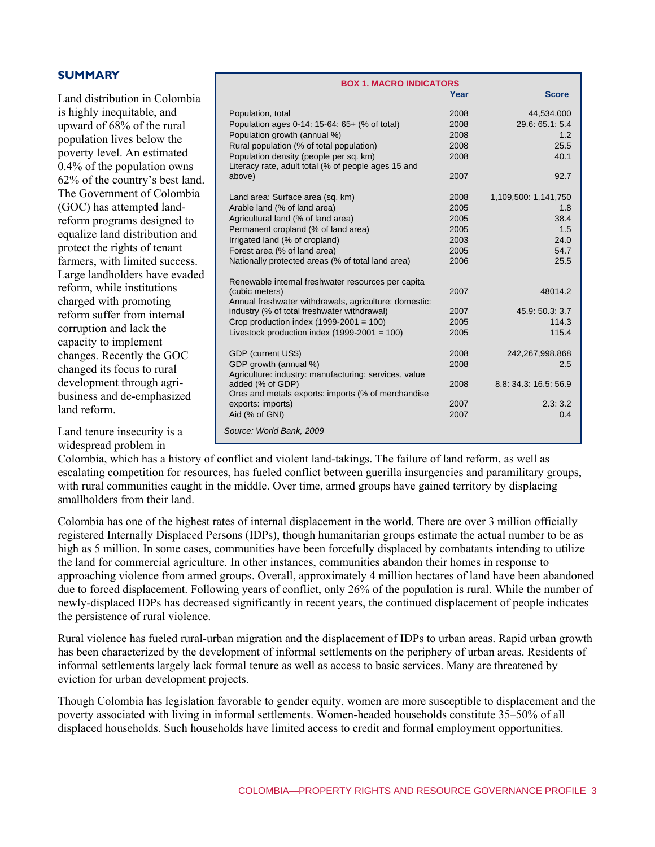| <b>SUMMARY</b> |  |  |  |  |  |  |
|----------------|--|--|--|--|--|--|
|----------------|--|--|--|--|--|--|

Land distribution in Colombia is highly inequitable, and upward of 68% of the rural population lives below the poverty level. An estimated 0.4% of the population owns 62% of the country's best land. The Government of Colombia (GOC) has attempted landreform programs designed to equalize land distribution and protect the rights of tenant farmers, with limited success. Large landholders have evaded reform, while institutions charged with promoting reform suffer from internal corruption and lack the capacity to implement changes. Recently the GOC changed its focus to rural development through agribusiness and de-emphasized land reform.

Land tenure insecurity is a widespread problem in

**BOX 1. MACRO INDICATORS Year Score**  Population, total 2008 44,534,000 Population ages 0-14: 15-64: 65+ (% of total) 2008 29.6: 65.1: 5.4 Population growth (annual %) 2008 2008 1.2 Rural population (% of total population) 2008 25.5 Population density (people per sq. km) 2008 40.1 Literacy rate, adult total (% of people ages 15 and above) 2007 92.7 Land area: Surface area (sq. km) 2008 1,109,500: 1,141,750 Arable land (% of land area) 2005 2005 1.8 Agricultural land (% of land area) 2005 2005 Permanent cropland (% of land area) 2005 2005 Irrigated land (% of cropland) 2003 24.0 Forest area (% of land area) 2005 54.7 Nationally protected areas (% of total land area) 2006 25.5 Renewable internal freshwater resources per capita (cubic meters) 2007 48014.2 Annual freshwater withdrawals, agriculture: domestic: industry (% of total freshwater withdrawal) 2007 45.9: 50.3: 3.7 Crop production index (1999-2001 = 100) 2005 114.3 Livestock production index (1999-2001 = 100) 2005 115.4 GDP (current US\$) 2008 242,267,998,868 GDP growth (annual %) 2008 2.5 Agriculture: industry: manufacturing: services, value added (% of GDP) 2008 8.8: 34.3: 16.5: 56.9 Ores and metals exports: imports (% of merchandise exports: imports) 2007 2.3: 3.2 Aid (% of GNI) 2007 0.4 *Source: World Bank, 2009* 

Colombia, which has a history of conflict and violent land-takings. The failure of land reform, as well as escalating competition for resources, has fueled conflict between guerilla insurgencies and paramilitary groups, with rural communities caught in the middle. Over time, armed groups have gained territory by displacing smallholders from their land.

Colombia has one of the highest rates of internal displacement in the world. There are over 3 million officially registered Internally Displaced Persons (IDPs), though humanitarian groups estimate the actual number to be as high as 5 million. In some cases, communities have been forcefully displaced by combatants intending to utilize the land for commercial agriculture. In other instances, communities abandon their homes in response to approaching violence from armed groups. Overall, approximately 4 million hectares of land have been abandoned due to forced displacement. Following years of conflict, only 26% of the population is rural. While the number of newly-displaced IDPs has decreased significantly in recent years, the continued displacement of people indicates the persistence of rural violence.

Rural violence has fueled rural-urban migration and the displacement of IDPs to urban areas. Rapid urban growth has been characterized by the development of informal settlements on the periphery of urban areas. Residents of informal settlements largely lack formal tenure as well as access to basic services. Many are threatened by eviction for urban development projects.

Though Colombia has legislation favorable to gender equity, women are more susceptible to displacement and the poverty associated with living in informal settlements. Women-headed households constitute 35–50% of all displaced households. Such households have limited access to credit and formal employment opportunities.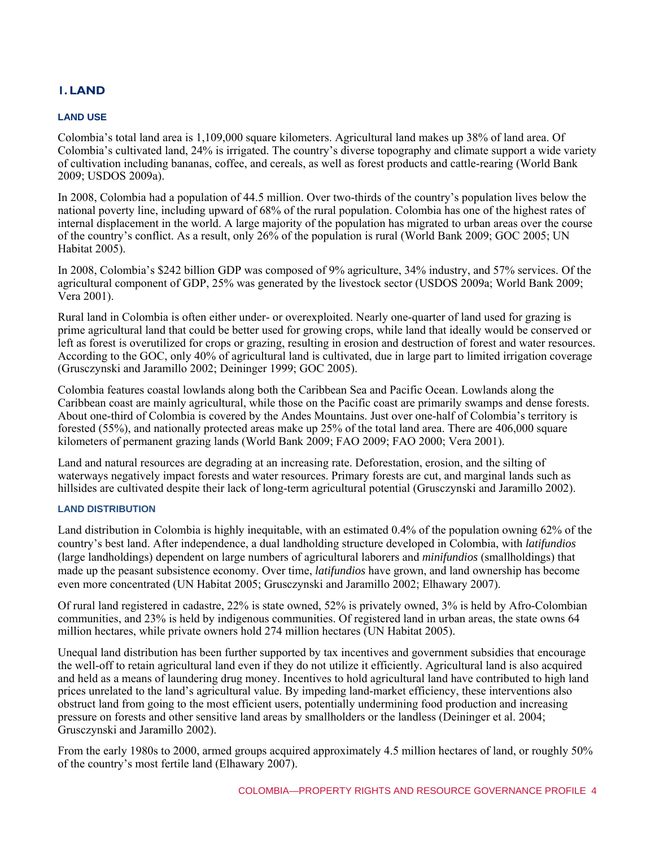# **1. LAND**

# **LAND USE**

Colombia's total land area is 1,109,000 square kilometers. Agricultural land makes up 38% of land area. Of Colombia's cultivated land, 24% is irrigated. The country's diverse topography and climate support a wide variety of cultivation including bananas, coffee, and cereals, as well as forest products and cattle-rearing (World Bank 2009; USDOS 2009a).

In 2008, Colombia had a population of 44.5 million. Over two-thirds of the country's population lives below the national poverty line, including upward of 68% of the rural population. Colombia has one of the highest rates of internal displacement in the world. A large majority of the population has migrated to urban areas over the course of the country's conflict. As a result, only 26% of the population is rural (World Bank 2009; GOC 2005; UN Habitat 2005).

In 2008, Colombia's \$242 billion GDP was composed of 9% agriculture, 34% industry, and 57% services. Of the agricultural component of GDP, 25% was generated by the livestock sector (USDOS 2009a; World Bank 2009; Vera 2001).

Rural land in Colombia is often either under- or overexploited. Nearly one-quarter of land used for grazing is prime agricultural land that could be better used for growing crops, while land that ideally would be conserved or left as forest is overutilized for crops or grazing, resulting in erosion and destruction of forest and water resources. According to the GOC, only 40% of agricultural land is cultivated, due in large part to limited irrigation coverage (Grusczynski and Jaramillo 2002; Deininger 1999; GOC 2005).

Colombia features coastal lowlands along both the Caribbean Sea and Pacific Ocean. Lowlands along the Caribbean coast are mainly agricultural, while those on the Pacific coast are primarily swamps and dense forests. About one-third of Colombia is covered by the Andes Mountains. Just over one-half of Colombia's territory is forested (55%), and nationally protected areas make up 25% of the total land area. There are 406,000 square kilometers of permanent grazing lands (World Bank 2009; FAO 2009; FAO 2000; Vera 2001).

Land and natural resources are degrading at an increasing rate. Deforestation, erosion, and the silting of waterways negatively impact forests and water resources. Primary forests are cut, and marginal lands such as hillsides are cultivated despite their lack of long-term agricultural potential (Grusczynski and Jaramillo 2002).

# **LAND DISTRIBUTION**

Land distribution in Colombia is highly inequitable, with an estimated 0.4% of the population owning 62% of the country's best land. After independence, a dual landholding structure developed in Colombia, with *latifundios*  (large landholdings) dependent on large numbers of agricultural laborers and *minifundios* (smallholdings) that made up the peasant subsistence economy. Over time, *latifundios* have grown, and land ownership has become even more concentrated (UN Habitat 2005; Grusczynski and Jaramillo 2002; Elhawary 2007).

Of rural land registered in cadastre, 22% is state owned, 52% is privately owned, 3% is held by Afro-Colombian communities, and 23% is held by indigenous communities. Of registered land in urban areas, the state owns 64 million hectares, while private owners hold 274 million hectares (UN Habitat 2005).

Unequal land distribution has been further supported by tax incentives and government subsidies that encourage the well-off to retain agricultural land even if they do not utilize it efficiently. Agricultural land is also acquired and held as a means of laundering drug money. Incentives to hold agricultural land have contributed to high land prices unrelated to the land's agricultural value. By impeding land-market efficiency, these interventions also obstruct land from going to the most efficient users, potentially undermining food production and increasing pressure on forests and other sensitive land areas by smallholders or the landless (Deininger et al. 2004; Grusczynski and Jaramillo 2002).

From the early 1980s to 2000, armed groups acquired approximately 4.5 million hectares of land, or roughly 50% of the country's most fertile land (Elhawary 2007).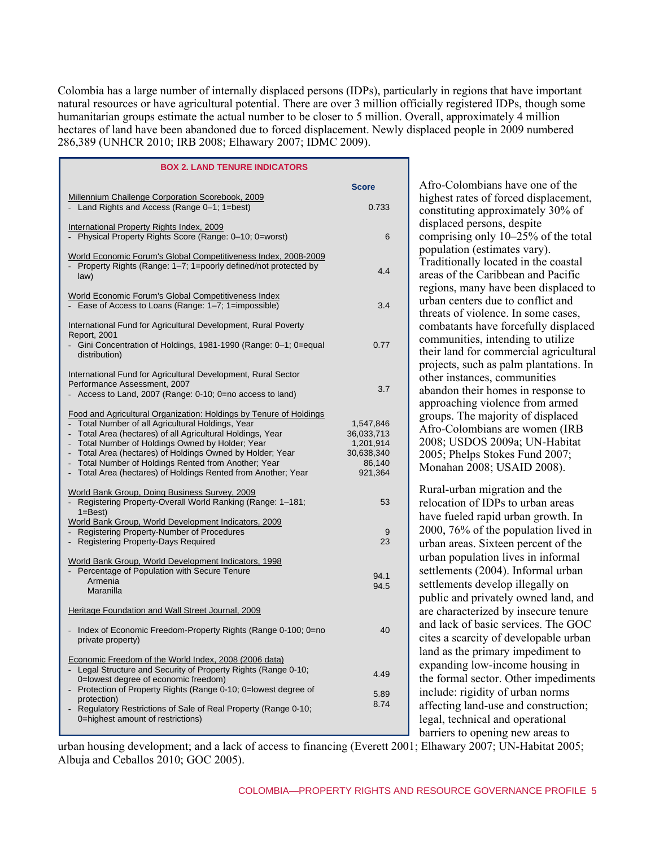Colombia has a large number of internally displaced persons (IDPs), particularly in regions that have important natural resources or have agricultural potential. There are over 3 million officially registered IDPs, though some humanitarian groups estimate the actual number to be closer to 5 million. Overall, approximately 4 million hectares of land have been abandoned due to forced displacement. Newly displaced people in 2009 numbered 286,389 (UNHCR 2010; IRB 2008; Elhawary 2007; IDMC 2009).

| <b>BOX 2. LAND TENURE INDICATORS</b>                                                                                                                                                                                                                                                                                                                                                                                        |                                                                         |
|-----------------------------------------------------------------------------------------------------------------------------------------------------------------------------------------------------------------------------------------------------------------------------------------------------------------------------------------------------------------------------------------------------------------------------|-------------------------------------------------------------------------|
|                                                                                                                                                                                                                                                                                                                                                                                                                             | <b>Score</b>                                                            |
| Millennium Challenge Corporation Scorebook, 2009<br>- Land Rights and Access (Range 0-1; 1=best)                                                                                                                                                                                                                                                                                                                            | 0.733                                                                   |
| International Property Rights Index, 2009<br>- Physical Property Rights Score (Range: 0-10; 0=worst)                                                                                                                                                                                                                                                                                                                        | 6                                                                       |
| World Economic Forum's Global Competitiveness Index, 2008-2009<br>- Property Rights (Range: 1-7; 1=poorly defined/not protected by<br>law)                                                                                                                                                                                                                                                                                  | 4.4                                                                     |
| World Economic Forum's Global Competitiveness Index<br>- Ease of Access to Loans (Range: 1-7; 1=impossible)                                                                                                                                                                                                                                                                                                                 | 3.4                                                                     |
| International Fund for Agricultural Development, Rural Poverty<br>Report, 2001                                                                                                                                                                                                                                                                                                                                              |                                                                         |
| - Gini Concentration of Holdings, 1981-1990 (Range: 0-1; 0=equal<br>distribution)                                                                                                                                                                                                                                                                                                                                           | 0.77                                                                    |
| International Fund for Agricultural Development, Rural Sector<br>Performance Assessment, 2007                                                                                                                                                                                                                                                                                                                               |                                                                         |
| - Access to Land, 2007 (Range: 0-10; 0=no access to land)                                                                                                                                                                                                                                                                                                                                                                   | 3.7                                                                     |
| Food and Agricultural Organization: Holdings by Tenure of Holdings<br>- Total Number of all Agricultural Holdings, Year<br>- Total Area (hectares) of all Agricultural Holdings, Year<br>- Total Number of Holdings Owned by Holder; Year<br>- Total Area (hectares) of Holdings Owned by Holder; Year<br>Total Number of Holdings Rented from Another; Year<br>Total Area (hectares) of Holdings Rented from Another; Year | 1,547,846<br>36,033,713<br>1,201,914<br>30,638,340<br>86,140<br>921,364 |
| World Bank Group, Doing Business Survey, 2009<br>- Registering Property-Overall World Ranking (Range: 1-181;<br>$1 = Best$                                                                                                                                                                                                                                                                                                  | 53                                                                      |
| World Bank Group, World Development Indicators, 2009<br>- Registering Property-Number of Procedures<br>- Registering Property-Days Required                                                                                                                                                                                                                                                                                 | 9<br>23                                                                 |
| World Bank Group, World Development Indicators, 1998<br>- Percentage of Population with Secure Tenure<br>Armenia<br>Maranilla                                                                                                                                                                                                                                                                                               | 94.1<br>94.5                                                            |
| Heritage Foundation and Wall Street Journal, 2009                                                                                                                                                                                                                                                                                                                                                                           |                                                                         |
| Index of Economic Freedom-Property Rights (Range 0-100; 0=no<br>private property)                                                                                                                                                                                                                                                                                                                                           | 40                                                                      |
| Economic Freedom of the World Index, 2008 (2006 data)<br>Legal Structure and Security of Property Rights (Range 0-10;<br>0=lowest degree of economic freedom)<br>- Protection of Property Rights (Range 0-10; 0=lowest degree of<br>protection)<br>- Regulatory Restrictions of Sale of Real Property (Range 0-10;<br>0=highest amount of restrictions)                                                                     | 4.49<br>5.89<br>8.74                                                    |

Afro-Colombians have one of the highest rates of forced displacement. constituting approximately 30% of displaced persons, despite comprising only 10–25% of the total population (estimates vary). Traditionally located in the coastal areas of the Caribbean and Pacific regions, many have been displaced to urban centers due to conflict and threats of violence. In some cases, combatants have forcefully displaced communities, intending to utilize their land for commercial agricultural projects, such as palm plantations. In other instances, communities abandon their homes in response to approaching violence from armed groups. The majority of displaced Afro-Colombians are women (IRB 2008; USDOS 2009a; UN-Habitat 2005; Phelps Stokes Fund 2007; Monahan 2008; USAID 2008).

Rural-urban migration and the relocation of IDPs to urban areas have fueled rapid urban growth. In 2000, 76% of the population lived in urban areas. Sixteen percent of the urban population lives in informal settlements (2004). Informal urban settlements develop illegally on public and privately owned land, and are characterized by insecure tenure and lack of basic services. The GOC cites a scarcity of developable urban land as the primary impediment to expanding low-income housing in the formal sector. Other impediments include: rigidity of urban norms affecting land-use and construction; legal, technical and operational barriers to opening new areas to

urban housing development; and a lack of access to financing (Everett 2001; Elhawary 2007; UN-Habitat 2005; Albuja and Ceballos 2010; GOC 2005).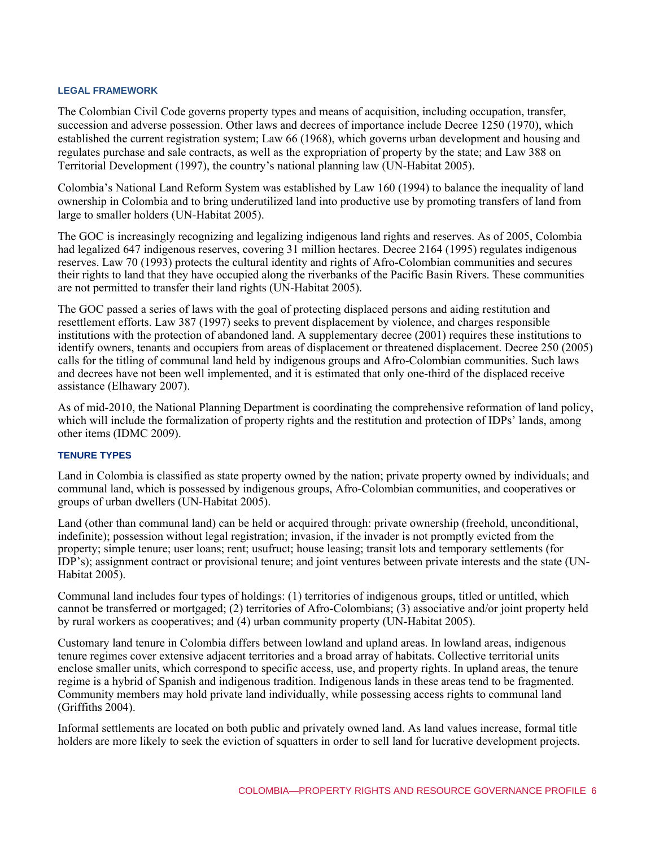#### **LEGAL FRAMEWORK**

The Colombian Civil Code governs property types and means of acquisition, including occupation, transfer, succession and adverse possession. Other laws and decrees of importance include Decree 1250 (1970), which established the current registration system; Law 66 (1968), which governs urban development and housing and regulates purchase and sale contracts, as well as the expropriation of property by the state; and Law 388 on Territorial Development (1997), the country's national planning law (UN-Habitat 2005).

Colombia's National Land Reform System was established by Law 160 (1994) to balance the inequality of land ownership in Colombia and to bring underutilized land into productive use by promoting transfers of land from large to smaller holders (UN-Habitat 2005).

The GOC is increasingly recognizing and legalizing indigenous land rights and reserves. As of 2005, Colombia had legalized 647 indigenous reserves, covering 31 million hectares. Decree 2164 (1995) regulates indigenous reserves. Law 70 (1993) protects the cultural identity and rights of Afro-Colombian communities and secures their rights to land that they have occupied along the riverbanks of the Pacific Basin Rivers. These communities are not permitted to transfer their land rights (UN-Habitat 2005).

The GOC passed a series of laws with the goal of protecting displaced persons and aiding restitution and resettlement efforts. Law 387 (1997) seeks to prevent displacement by violence, and charges responsible institutions with the protection of abandoned land. A supplementary decree (2001) requires these institutions to identify owners, tenants and occupiers from areas of displacement or threatened displacement. Decree 250 (2005) calls for the titling of communal land held by indigenous groups and Afro-Colombian communities. Such laws and decrees have not been well implemented, and it is estimated that only one-third of the displaced receive assistance (Elhawary 2007).

As of mid-2010, the National Planning Department is coordinating the comprehensive reformation of land policy, which will include the formalization of property rights and the restitution and protection of IDPs' lands, among other items (IDMC 2009).

#### **TENURE TYPES**

Land in Colombia is classified as state property owned by the nation; private property owned by individuals; and communal land, which is possessed by indigenous groups, Afro-Colombian communities, and cooperatives or groups of urban dwellers (UN-Habitat 2005).

Land (other than communal land) can be held or acquired through: private ownership (freehold, unconditional, indefinite); possession without legal registration; invasion, if the invader is not promptly evicted from the property; simple tenure; user loans; rent; usufruct; house leasing; transit lots and temporary settlements (for IDP's); assignment contract or provisional tenure; and joint ventures between private interests and the state (UN-Habitat 2005).

Communal land includes four types of holdings: (1) territories of indigenous groups, titled or untitled, which cannot be transferred or mortgaged; (2) territories of Afro-Colombians; (3) associative and/or joint property held by rural workers as cooperatives; and (4) urban community property (UN-Habitat 2005).

Customary land tenure in Colombia differs between lowland and upland areas. In lowland areas, indigenous tenure regimes cover extensive adjacent territories and a broad array of habitats. Collective territorial units enclose smaller units, which correspond to specific access, use, and property rights. In upland areas, the tenure regime is a hybrid of Spanish and indigenous tradition. Indigenous lands in these areas tend to be fragmented. Community members may hold private land individually, while possessing access rights to communal land (Griffiths 2004).

Informal settlements are located on both public and privately owned land. As land values increase, formal title holders are more likely to seek the eviction of squatters in order to sell land for lucrative development projects.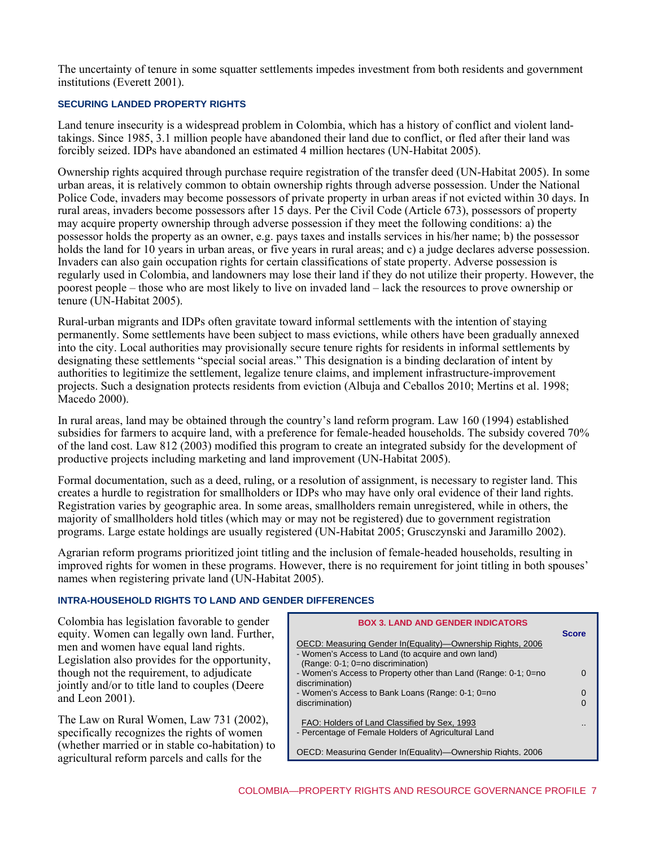The uncertainty of tenure in some squatter settlements impedes investment from both residents and government institutions (Everett 2001).

# **SECURING LANDED PROPERTY RIGHTS**

Land tenure insecurity is a widespread problem in Colombia, which has a history of conflict and violent landtakings. Since 1985, 3.1 million people have abandoned their land due to conflict, or fled after their land was forcibly seized. IDPs have abandoned an estimated 4 million hectares (UN-Habitat 2005).

Ownership rights acquired through purchase require registration of the transfer deed (UN-Habitat 2005). In some urban areas, it is relatively common to obtain ownership rights through adverse possession. Under the National Police Code, invaders may become possessors of private property in urban areas if not evicted within 30 days. In rural areas, invaders become possessors after 15 days. Per the Civil Code (Article 673), possessors of property may acquire property ownership through adverse possession if they meet the following conditions: a) the possessor holds the property as an owner, e.g. pays taxes and installs services in his/her name; b) the possessor holds the land for 10 years in urban areas, or five years in rural areas; and c) a judge declares adverse possession. Invaders can also gain occupation rights for certain classifications of state property. Adverse possession is regularly used in Colombia, and landowners may lose their land if they do not utilize their property. However, the poorest people – those who are most likely to live on invaded land – lack the resources to prove ownership or tenure (UN-Habitat 2005).

Rural-urban migrants and IDPs often gravitate toward informal settlements with the intention of staying permanently. Some settlements have been subject to mass evictions, while others have been gradually annexed into the city. Local authorities may provisionally secure tenure rights for residents in informal settlements by designating these settlements "special social areas." This designation is a binding declaration of intent by authorities to legitimize the settlement, legalize tenure claims, and implement infrastructure-improvement projects. Such a designation protects residents from eviction (Albuja and Ceballos 2010; Mertins et al. 1998; Macedo 2000).

In rural areas, land may be obtained through the country's land reform program. Law 160 (1994) established subsidies for farmers to acquire land, with a preference for female-headed households. The subsidy covered 70% of the land cost. Law 812 (2003) modified this program to create an integrated subsidy for the development of productive projects including marketing and land improvement (UN-Habitat 2005).

Formal documentation, such as a deed, ruling, or a resolution of assignment, is necessary to register land. This creates a hurdle to registration for smallholders or IDPs who may have only oral evidence of their land rights. Registration varies by geographic area. In some areas, smallholders remain unregistered, while in others, the majority of smallholders hold titles (which may or may not be registered) due to government registration programs. Large estate holdings are usually registered (UN-Habitat 2005; Grusczynski and Jaramillo 2002).

Agrarian reform programs prioritized joint titling and the inclusion of female-headed households, resulting in improved rights for women in these programs. However, there is no requirement for joint titling in both spouses' names when registering private land (UN-Habitat 2005).

# **INTRA-HOUSEHOLD RIGHTS TO LAND AND GENDER DIFFERENCES**

Colombia has legislation favorable to gender equity. Women can legally own land. Further, men and women have equal land rights. Legislation also provides for the opportunity, though not the requirement, to adjudicate jointly and/or to title land to couples (Deere and Leon 2001).

The Law on Rural Women, Law 731 (2002), specifically recognizes the rights of women (whether married or in stable co-habitation) to agricultural reform parcels and calls for the

| (Range: 0-1; 0=no discrimination)<br>- Women's Access to Property other than Land (Range: 0-1; 0=no<br>discrimination)<br>- Women's Access to Bank Loans (Range: 0-1; 0=no<br>discrimination) | <b>Score</b> |
|-----------------------------------------------------------------------------------------------------------------------------------------------------------------------------------------------|--------------|
|                                                                                                                                                                                               |              |
| FAO: Holders of Land Classified by Sex, 1993<br>- Percentage of Female Holders of Agricultural Land<br>OECD: Measuring Gender In (Equality)—Ownership Rights, 2006                            |              |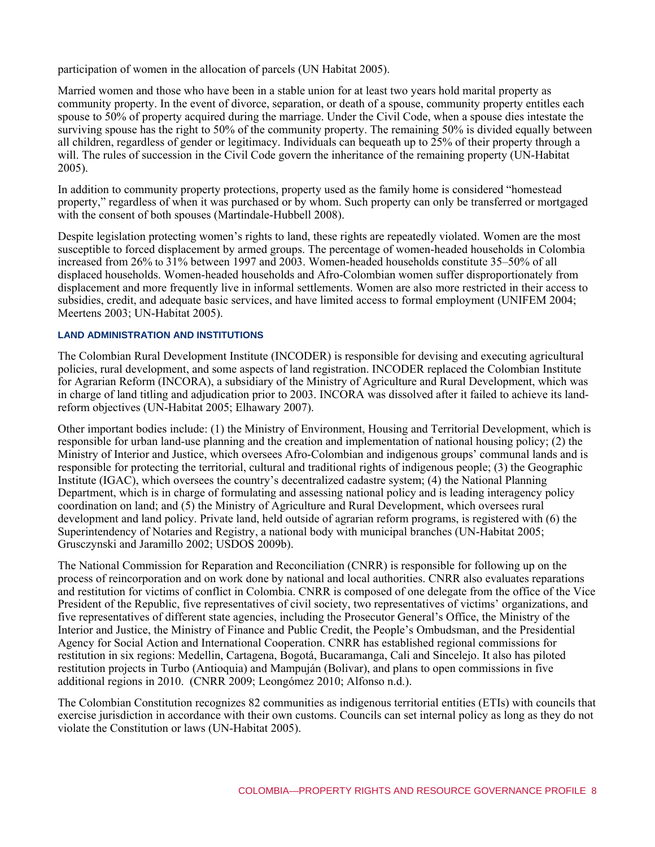participation of women in the allocation of parcels (UN Habitat 2005).

Married women and those who have been in a stable union for at least two years hold marital property as community property. In the event of divorce, separation, or death of a spouse, community property entitles each spouse to 50% of property acquired during the marriage. Under the Civil Code, when a spouse dies intestate the surviving spouse has the right to 50% of the community property. The remaining 50% is divided equally between all children, regardless of gender or legitimacy. Individuals can bequeath up to 25% of their property through a will. The rules of succession in the Civil Code govern the inheritance of the remaining property (UN-Habitat 2005).

In addition to community property protections, property used as the family home is considered "homestead property," regardless of when it was purchased or by whom. Such property can only be transferred or mortgaged with the consent of both spouses (Martindale-Hubbell 2008).

Despite legislation protecting women's rights to land, these rights are repeatedly violated. Women are the most susceptible to forced displacement by armed groups. The percentage of women-headed households in Colombia increased from 26% to 31% between 1997 and 2003. Women-headed households constitute 35–50% of all displaced households. Women-headed households and Afro-Colombian women suffer disproportionately from displacement and more frequently live in informal settlements. Women are also more restricted in their access to subsidies, credit, and adequate basic services, and have limited access to formal employment (UNIFEM 2004; Meertens 2003; UN-Habitat 2005).

# **LAND ADMINISTRATION AND INSTITUTIONS**

The Colombian Rural Development Institute (INCODER) is responsible for devising and executing agricultural policies, rural development, and some aspects of land registration. INCODER replaced the Colombian Institute for Agrarian Reform (INCORA), a subsidiary of the Ministry of Agriculture and Rural Development, which was in charge of land titling and adjudication prior to 2003. INCORA was dissolved after it failed to achieve its landreform objectives (UN-Habitat 2005; Elhawary 2007).

Other important bodies include: (1) the Ministry of Environment, Housing and Territorial Development, which is responsible for urban land-use planning and the creation and implementation of national housing policy; (2) the Ministry of Interior and Justice, which oversees Afro-Colombian and indigenous groups' communal lands and is responsible for protecting the territorial, cultural and traditional rights of indigenous people; (3) the Geographic Institute (IGAC), which oversees the country's decentralized cadastre system; (4) the National Planning Department, which is in charge of formulating and assessing national policy and is leading interagency policy coordination on land; and (5) the Ministry of Agriculture and Rural Development, which oversees rural development and land policy. Private land, held outside of agrarian reform programs, is registered with (6) the Superintendency of Notaries and Registry, a national body with municipal branches (UN-Habitat 2005; Grusczynski and Jaramillo 2002; USDOS 2009b).

The National Commission for Reparation and Reconciliation (CNRR) is responsible for following up on the process of reincorporation and on work done by national and local authorities. CNRR also evaluates reparations and restitution for victims of conflict in Colombia. CNRR is composed of one delegate from the office of the Vice President of the Republic, five representatives of civil society, two representatives of victims' organizations, and five representatives of different state agencies, including the Prosecutor General's Office, the Ministry of the Interior and Justice, the Ministry of Finance and Public Credit, the People's Ombudsman, and the Presidential Agency for Social Action and International Cooperation. CNRR has established regional commissions for restitution in six regions: Medellin, Cartagena, Bogotá, Bucaramanga, Cali and Sincelejo. It also has piloted restitution projects in Turbo (Antioquia) and Mampuján (Bolivar), and plans to open commissions in five additional regions in 2010. (CNRR 2009; Leongómez 2010; Alfonso n.d.).

The Colombian Constitution recognizes 82 communities as indigenous territorial entities (ETIs) with councils that exercise jurisdiction in accordance with their own customs. Councils can set internal policy as long as they do not violate the Constitution or laws (UN-Habitat 2005).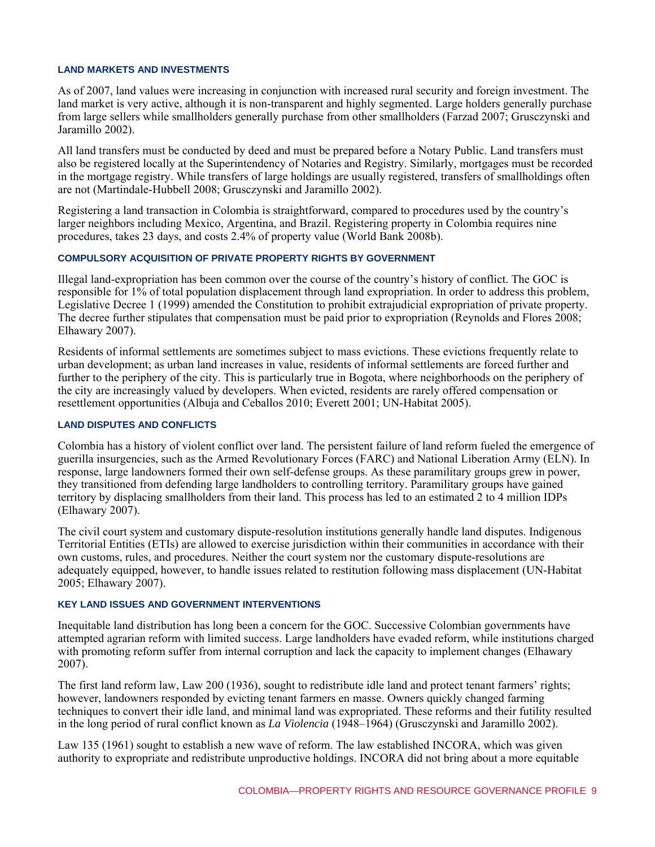#### **LAND MARKETS AND INVESTMENTS**

As of 2007, land values were increasing in conjunction with increased rural security and foreign investment. The land market is very active, although it is non-transparent and highly segmented. Large holders generally purchase from large sellers while smallholders generally purchase from other smallholders (Farzad 2007; Grusczynski and Jaramillo 2002).

All land transfers must be conducted by deed and must be prepared before a Notary Public. Land transfers must also be registered locally at the Superintendency of Notaries and Registry. Similarly, mortgages must be recorded in the mortgage registry. While transfers of large holdings are usually registered, transfers of smallholdings often are not (Martindale-Hubbell 2008; Grusczynski and Jaramillo 2002).

Registering a land transaction in Colombia is straightforward, compared to procedures used by the country's larger neighbors including Mexico, Argentina, and Brazil. Registering property in Colombia requires nine procedures, takes 23 days, and costs 2.4% of property value (World Bank 2008b).

# **COMPULSORY ACQUISITION OF PRIVATE PROPERTY RIGHTS BY GOVERNMENT**

Illegal land-expropriation has been common over the course of the country's history of conflict. The GOC is responsible for 1% of total population displacement through land expropriation. In order to address this problem, Legislative Decree 1 (1999) amended the Constitution to prohibit extrajudicial expropriation of private property. The decree further stipulates that compensation must be paid prior to expropriation (Reynolds and Flores 2008; Elhawary 2007).

Residents of informal settlements are sometimes subject to mass evictions. These evictions frequently relate to urban development; as urban land increases in value, residents of informal settlements are forced further and further to the periphery of the city. This is particularly true in Bogota, where neighborhoods on the periphery of the city are increasingly valued by developers. When evicted, residents are rarely offered compensation or resettlement opportunities (Albuja and Ceballos 2010; Everett 2001; UN-Habitat 2005).

# **LAND DISPUTES AND CONFLICTS**

Colombia has a history of violent conflict over land. The persistent failure of land reform fueled the emergence of guerilla insurgencies, such as the Armed Revolutionary Forces (FARC) and National Liberation Army (ELN). In response, large landowners formed their own self-defense groups. As these paramilitary groups grew in power, they transitioned from defending large landholders to controlling territory. Paramilitary groups have gained territory by displacing smallholders from their land. This process has led to an estimated 2 to 4 million IDPs (Elhawary 2007).

The civil court system and customary dispute-resolution institutions generally handle land disputes. Indigenous Territorial Entities (ETIs) are allowed to exercise jurisdiction within their communities in accordance with their own customs, rules, and procedures. Neither the court system nor the customary dispute-resolutions are adequately equipped, however, to handle issues related to restitution following mass displacement (UN-Habitat 2005; Elhawary 2007).

# **KEY LAND ISSUES AND GOVERNMENT INTERVENTIONS**

Inequitable land distribution has long been a concern for the GOC. Successive Colombian governments have attempted agrarian reform with limited success. Large landholders have evaded reform, while institutions charged with promoting reform suffer from internal corruption and lack the capacity to implement changes (Elhawary 2007).

The first land reform law, Law 200 (1936), sought to redistribute idle land and protect tenant farmers' rights; however, landowners responded by evicting tenant farmers en masse. Owners quickly changed farming techniques to convert their idle land, and minimal land was expropriated. These reforms and their futility resulted in the long period of rural conflict known as *La Violencia* (1948–1964) (Grusczynski and Jaramillo 2002).

Law 135 (1961) sought to establish a new wave of reform. The law established INCORA, which was given authority to expropriate and redistribute unproductive holdings. INCORA did not bring about a more equitable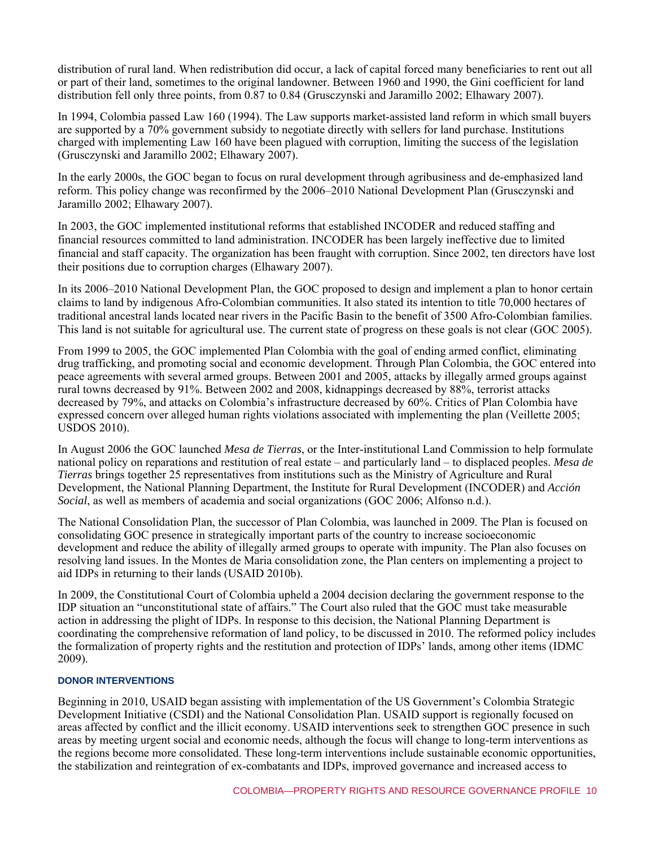distribution of rural land. When redistribution did occur, a lack of capital forced many beneficiaries to rent out all or part of their land, sometimes to the original landowner. Between 1960 and 1990, the Gini coefficient for land distribution fell only three points, from 0.87 to 0.84 (Grusczynski and Jaramillo 2002; Elhawary 2007).

In 1994, Colombia passed Law 160 (1994). The Law supports market-assisted land reform in which small buyers are supported by a 70% government subsidy to negotiate directly with sellers for land purchase. Institutions charged with implementing Law 160 have been plagued with corruption, limiting the success of the legislation (Grusczynski and Jaramillo 2002; Elhawary 2007).

In the early 2000s, the GOC began to focus on rural development through agribusiness and de-emphasized land reform. This policy change was reconfirmed by the 2006–2010 National Development Plan (Grusczynski and Jaramillo 2002; Elhawary 2007).

In 2003, the GOC implemented institutional reforms that established INCODER and reduced staffing and financial resources committed to land administration. INCODER has been largely ineffective due to limited financial and staff capacity. The organization has been fraught with corruption. Since 2002, ten directors have lost their positions due to corruption charges (Elhawary 2007).

In its 2006–2010 National Development Plan, the GOC proposed to design and implement a plan to honor certain claims to land by indigenous Afro-Colombian communities. It also stated its intention to title 70,000 hectares of traditional ancestral lands located near rivers in the Pacific Basin to the benefit of 3500 Afro-Colombian families. This land is not suitable for agricultural use. The current state of progress on these goals is not clear (GOC 2005).

From 1999 to 2005, the GOC implemented Plan Colombia with the goal of ending armed conflict, eliminating drug trafficking, and promoting social and economic development. Through Plan Colombia, the GOC entered into peace agreements with several armed groups. Between 2001 and 2005, attacks by illegally armed groups against rural towns decreased by 91%. Between 2002 and 2008, kidnappings decreased by 88%, terrorist attacks decreased by 79%, and attacks on Colombia's infrastructure decreased by 60%. Critics of Plan Colombia have expressed concern over alleged human rights violations associated with implementing the plan (Veillette 2005; USDOS 2010).

In August 2006 the GOC launched *Mesa de Tierras*, or the Inter-institutional Land Commission to help formulate national policy on reparations and restitution of real estate – and particularly land – to displaced peoples. *Mesa de Tierras* brings together 25 representatives from institutions such as the Ministry of Agriculture and Rural Development, the National Planning Department, the Institute for Rural Development (INCODER) and *Acción Social*, as well as members of academia and social organizations (GOC 2006; Alfonso n.d.).

The National Consolidation Plan, the successor of Plan Colombia, was launched in 2009. The Plan is focused on consolidating GOC presence in strategically important parts of the country to increase socioeconomic development and reduce the ability of illegally armed groups to operate with impunity. The Plan also focuses on resolving land issues. In the Montes de Maria consolidation zone, the Plan centers on implementing a project to aid IDPs in returning to their lands (USAID 2010b).

In 2009, the Constitutional Court of Colombia upheld a 2004 decision declaring the government response to the IDP situation an "unconstitutional state of affairs." The Court also ruled that the GOC must take measurable action in addressing the plight of IDPs. In response to this decision, the National Planning Department is coordinating the comprehensive reformation of land policy, to be discussed in 2010. The reformed policy includes the formalization of property rights and the restitution and protection of IDPs' lands, among other items (IDMC 2009).

# **DONOR INTERVENTIONS**

Beginning in 2010, USAID began assisting with implementation of the US Government's Colombia Strategic Development Initiative (CSDI) and the National Consolidation Plan. USAID support is regionally focused on areas affected by conflict and the illicit economy. USAID interventions seek to strengthen GOC presence in such areas by meeting urgent social and economic needs, although the focus will change to long-term interventions as the regions become more consolidated. These long-term interventions include sustainable economic opportunities, the stabilization and reintegration of ex-combatants and IDPs, improved governance and increased access to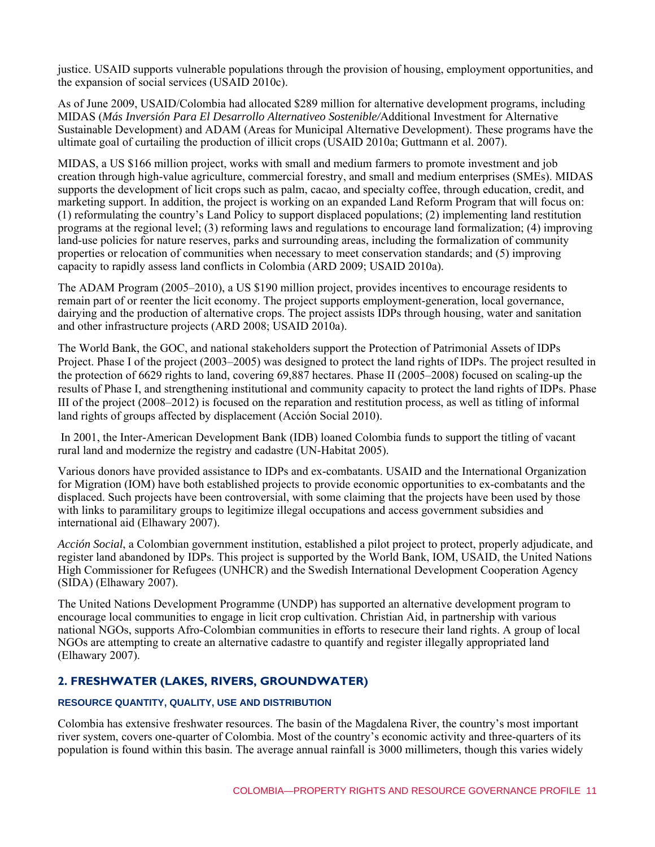justice. USAID supports vulnerable populations through the provision of housing, employment opportunities, and the expansion of social services (USAID 2010c).

As of June 2009, USAID/Colombia had allocated \$289 million for alternative development programs, including MIDAS (*Más Inversión Para El Desarrollo Alternativeo Sostenible/*Additional Investment for Alternative Sustainable Development) and ADAM (Areas for Municipal Alternative Development). These programs have the ultimate goal of curtailing the production of illicit crops (USAID 2010a; Guttmann et al. 2007).

MIDAS, a US \$166 million project, works with small and medium farmers to promote investment and job creation through high-value agriculture, commercial forestry, and small and medium enterprises (SMEs). MIDAS supports the development of licit crops such as palm, cacao, and specialty coffee, through education, credit, and marketing support. In addition, the project is working on an expanded Land Reform Program that will focus on: (1) reformulating the country's Land Policy to support displaced populations; (2) implementing land restitution programs at the regional level; (3) reforming laws and regulations to encourage land formalization; (4) improving land-use policies for nature reserves, parks and surrounding areas, including the formalization of community properties or relocation of communities when necessary to meet conservation standards; and (5) improving capacity to rapidly assess land conflicts in Colombia (ARD 2009; USAID 2010a).

The ADAM Program (2005–2010), a US \$190 million project, provides incentives to encourage residents to remain part of or reenter the licit economy. The project supports employment-generation, local governance, dairying and the production of alternative crops. The project assists IDPs through housing, water and sanitation and other infrastructure projects (ARD 2008; USAID 2010a).

The World Bank, the GOC, and national stakeholders support the Protection of Patrimonial Assets of IDPs Project. Phase I of the project (2003–2005) was designed to protect the land rights of IDPs. The project resulted in the protection of 6629 rights to land, covering 69,887 hectares. Phase II (2005–2008) focused on scaling-up the results of Phase I, and strengthening institutional and community capacity to protect the land rights of IDPs. Phase III of the project (2008–2012) is focused on the reparation and restitution process, as well as titling of informal land rights of groups affected by displacement (Acción Social 2010).

 In 2001, the Inter-American Development Bank (IDB) loaned Colombia funds to support the titling of vacant rural land and modernize the registry and cadastre (UN-Habitat 2005).

Various donors have provided assistance to IDPs and ex-combatants. USAID and the International Organization for Migration (IOM) have both established projects to provide economic opportunities to ex-combatants and the displaced. Such projects have been controversial, with some claiming that the projects have been used by those with links to paramilitary groups to legitimize illegal occupations and access government subsidies and international aid (Elhawary 2007).

*Acción Social*, a Colombian government institution, established a pilot project to protect, properly adjudicate, and register land abandoned by IDPs. This project is supported by the World Bank, IOM, USAID, the United Nations High Commissioner for Refugees (UNHCR) and the Swedish International Development Cooperation Agency (SIDA) (Elhawary 2007).

The United Nations Development Programme (UNDP) has supported an alternative development program to encourage local communities to engage in licit crop cultivation. Christian Aid, in partnership with various national NGOs, supports Afro-Colombian communities in efforts to resecure their land rights. A group of local NGOs are attempting to create an alternative cadastre to quantify and register illegally appropriated land (Elhawary 2007).

# **2. FRESHWATER (LAKES, RIVERS, GROUNDWATER)**

# **RESOURCE QUANTITY, QUALITY, USE AND DISTRIBUTION**

Colombia has extensive freshwater resources. The basin of the Magdalena River, the country's most important river system, covers one-quarter of Colombia. Most of the country's economic activity and three-quarters of its population is found within this basin. The average annual rainfall is 3000 millimeters, though this varies widely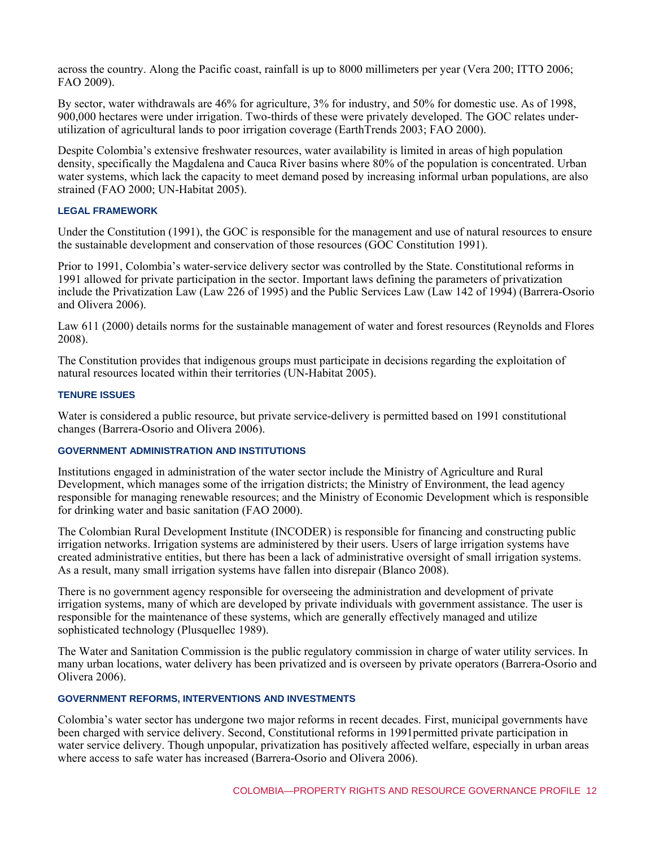across the country. Along the Pacific coast, rainfall is up to 8000 millimeters per year (Vera 200; ITTO 2006; FAO 2009).

By sector, water withdrawals are 46% for agriculture, 3% for industry, and 50% for domestic use. As of 1998, 900,000 hectares were under irrigation. Two-thirds of these were privately developed. The GOC relates underutilization of agricultural lands to poor irrigation coverage (EarthTrends 2003; FAO 2000).

Despite Colombia's extensive freshwater resources, water availability is limited in areas of high population density, specifically the Magdalena and Cauca River basins where 80% of the population is concentrated. Urban water systems, which lack the capacity to meet demand posed by increasing informal urban populations, are also strained (FAO 2000; UN-Habitat 2005).

# **LEGAL FRAMEWORK**

Under the Constitution (1991), the GOC is responsible for the management and use of natural resources to ensure the sustainable development and conservation of those resources (GOC Constitution 1991).

Prior to 1991, Colombia's water-service delivery sector was controlled by the State. Constitutional reforms in 1991 allowed for private participation in the sector. Important laws defining the parameters of privatization include the Privatization Law (Law 226 of 1995) and the Public Services Law (Law 142 of 1994) (Barrera-Osorio and Olivera 2006).

Law 611 (2000) details norms for the sustainable management of water and forest resources (Reynolds and Flores 2008).

The Constitution provides that indigenous groups must participate in decisions regarding the exploitation of natural resources located within their territories (UN-Habitat 2005).

#### **TENURE ISSUES**

Water is considered a public resource, but private service-delivery is permitted based on 1991 constitutional changes (Barrera-Osorio and Olivera 2006).

# **GOVERNMENT ADMINISTRATION AND INSTITUTIONS**

Institutions engaged in administration of the water sector include the Ministry of Agriculture and Rural Development, which manages some of the irrigation districts; the Ministry of Environment, the lead agency responsible for managing renewable resources; and the Ministry of Economic Development which is responsible for drinking water and basic sanitation (FAO 2000).

The Colombian Rural Development Institute (INCODER) is responsible for financing and constructing public irrigation networks. Irrigation systems are administered by their users. Users of large irrigation systems have created administrative entities, but there has been a lack of administrative oversight of small irrigation systems. As a result, many small irrigation systems have fallen into disrepair (Blanco 2008).

There is no government agency responsible for overseeing the administration and development of private irrigation systems, many of which are developed by private individuals with government assistance. The user is responsible for the maintenance of these systems, which are generally effectively managed and utilize sophisticated technology (Plusquellec 1989).

The Water and Sanitation Commission is the public regulatory commission in charge of water utility services. In many urban locations, water delivery has been privatized and is overseen by private operators (Barrera-Osorio and Olivera 2006).

# **GOVERNMENT REFORMS, INTERVENTIONS AND INVESTMENTS**

Colombia's water sector has undergone two major reforms in recent decades. First, municipal governments have been charged with service delivery. Second, Constitutional reforms in 1991permitted private participation in water service delivery. Though unpopular, privatization has positively affected welfare, especially in urban areas where access to safe water has increased (Barrera-Osorio and Olivera 2006).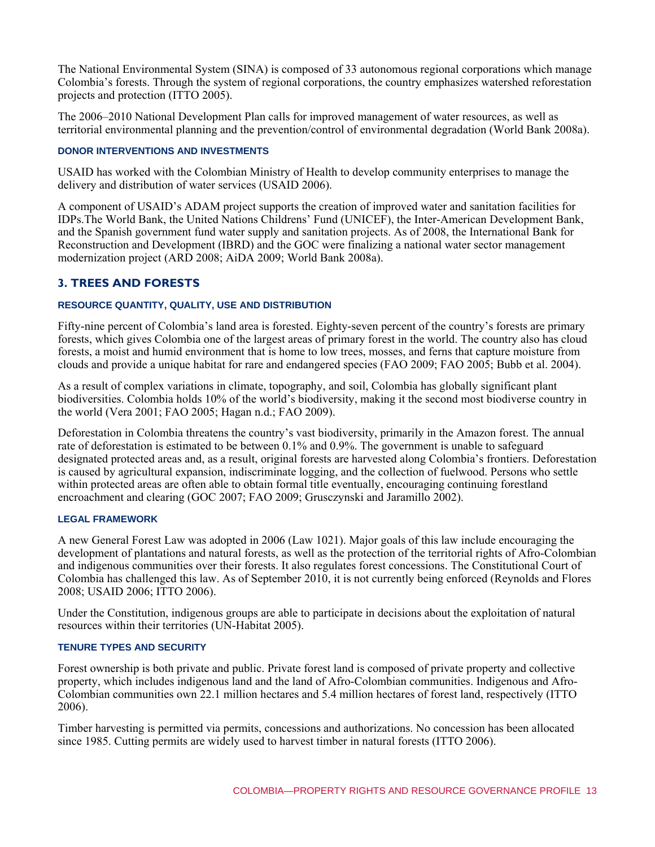The National Environmental System (SINA) is composed of 33 autonomous regional corporations which manage Colombia's forests. Through the system of regional corporations, the country emphasizes watershed reforestation projects and protection (ITTO 2005).

The 2006–2010 National Development Plan calls for improved management of water resources, as well as territorial environmental planning and the prevention/control of environmental degradation (World Bank 2008a).

# **DONOR INTERVENTIONS AND INVESTMENTS**

USAID has worked with the Colombian Ministry of Health to develop community enterprises to manage the delivery and distribution of water services (USAID 2006).

A component of USAID's ADAM project supports the creation of improved water and sanitation facilities for IDPs.The World Bank, the United Nations Childrens' Fund (UNICEF), the Inter-American Development Bank, and the Spanish government fund water supply and sanitation projects. As of 2008, the International Bank for Reconstruction and Development (IBRD) and the GOC were finalizing a national water sector management modernization project (ARD 2008; AiDA 2009; World Bank 2008a).

# **3. TREES AND FORESTS**

#### **RESOURCE QUANTITY, QUALITY, USE AND DISTRIBUTION**

Fifty-nine percent of Colombia's land area is forested. Eighty-seven percent of the country's forests are primary forests, which gives Colombia one of the largest areas of primary forest in the world. The country also has cloud forests, a moist and humid environment that is home to low trees, mosses, and ferns that capture moisture from clouds and provide a unique habitat for rare and endangered species (FAO 2009; FAO 2005; Bubb et al. 2004).

As a result of complex variations in climate, topography, and soil, Colombia has globally significant plant biodiversities. Colombia holds 10% of the world's biodiversity, making it the second most biodiverse country in the world (Vera 2001; FAO 2005; Hagan n.d.; FAO 2009).

Deforestation in Colombia threatens the country's vast biodiversity, primarily in the Amazon forest. The annual rate of deforestation is estimated to be between 0.1% and 0.9%. The government is unable to safeguard designated protected areas and, as a result, original forests are harvested along Colombia's frontiers. Deforestation is caused by agricultural expansion, indiscriminate logging, and the collection of fuelwood. Persons who settle within protected areas are often able to obtain formal title eventually, encouraging continuing forestland encroachment and clearing (GOC 2007; FAO 2009; Grusczynski and Jaramillo 2002).

# **LEGAL FRAMEWORK**

A new General Forest Law was adopted in 2006 (Law 1021). Major goals of this law include encouraging the development of plantations and natural forests, as well as the protection of the territorial rights of Afro-Colombian and indigenous communities over their forests. It also regulates forest concessions. The Constitutional Court of Colombia has challenged this law. As of September 2010, it is not currently being enforced (Reynolds and Flores 2008; USAID 2006; ITTO 2006).

Under the Constitution, indigenous groups are able to participate in decisions about the exploitation of natural resources within their territories (UN-Habitat 2005).

#### **TENURE TYPES AND SECURITY**

Forest ownership is both private and public. Private forest land is composed of private property and collective property, which includes indigenous land and the land of Afro-Colombian communities. Indigenous and Afro-Colombian communities own 22.1 million hectares and 5.4 million hectares of forest land, respectively (ITTO 2006).

Timber harvesting is permitted via permits, concessions and authorizations. No concession has been allocated since 1985. Cutting permits are widely used to harvest timber in natural forests (ITTO 2006).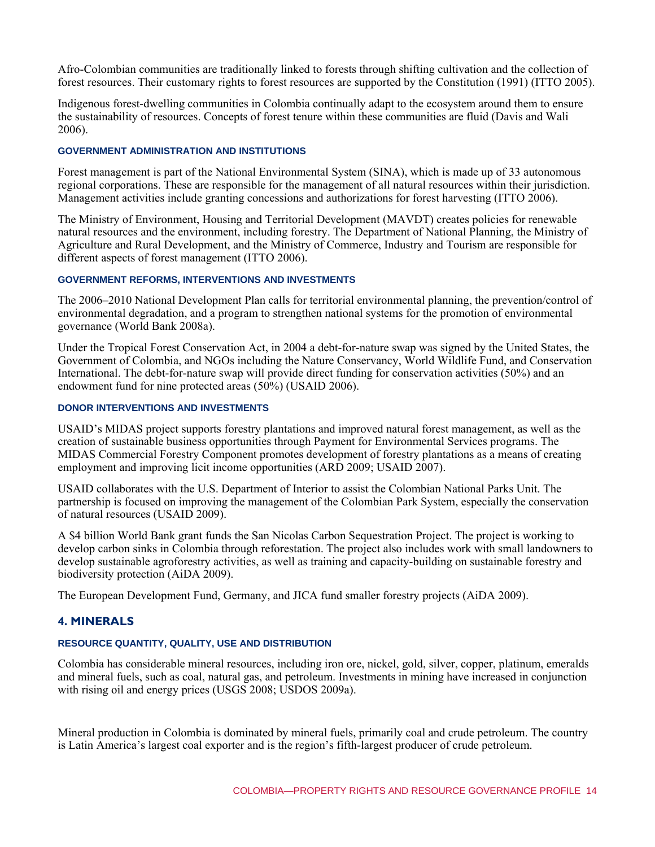Afro-Colombian communities are traditionally linked to forests through shifting cultivation and the collection of forest resources. Their customary rights to forest resources are supported by the Constitution (1991) (ITTO 2005).

Indigenous forest-dwelling communities in Colombia continually adapt to the ecosystem around them to ensure the sustainability of resources. Concepts of forest tenure within these communities are fluid (Davis and Wali 2006).

#### **GOVERNMENT ADMINISTRATION AND INSTITUTIONS**

Forest management is part of the National Environmental System (SINA), which is made up of 33 autonomous regional corporations. These are responsible for the management of all natural resources within their jurisdiction. Management activities include granting concessions and authorizations for forest harvesting (ITTO 2006).

The Ministry of Environment, Housing and Territorial Development (MAVDT) creates policies for renewable natural resources and the environment, including forestry. The Department of National Planning, the Ministry of Agriculture and Rural Development, and the Ministry of Commerce, Industry and Tourism are responsible for different aspects of forest management (ITTO 2006).

#### **GOVERNMENT REFORMS, INTERVENTIONS AND INVESTMENTS**

The 2006–2010 National Development Plan calls for territorial environmental planning, the prevention/control of environmental degradation, and a program to strengthen national systems for the promotion of environmental governance (World Bank 2008a).

Under the Tropical Forest Conservation Act, in 2004 a debt-for-nature swap was signed by the United States, the Government of Colombia, and NGOs including the Nature Conservancy, World Wildlife Fund, and Conservation International. The debt-for-nature swap will provide direct funding for conservation activities (50%) and an endowment fund for nine protected areas (50%) (USAID 2006).

# **DONOR INTERVENTIONS AND INVESTMENTS**

USAID's MIDAS project supports forestry plantations and improved natural forest management, as well as the creation of sustainable business opportunities through Payment for Environmental Services programs. The MIDAS Commercial Forestry Component promotes development of forestry plantations as a means of creating employment and improving licit income opportunities (ARD 2009; USAID 2007).

USAID collaborates with the U.S. Department of Interior to assist the Colombian National Parks Unit. The partnership is focused on improving the management of the Colombian Park System, especially the conservation of natural resources (USAID 2009).

A \$4 billion World Bank grant funds the San Nicolas Carbon Sequestration Project. The project is working to develop carbon sinks in Colombia through reforestation. The project also includes work with small landowners to develop sustainable agroforestry activities, as well as training and capacity-building on sustainable forestry and biodiversity protection (AiDA 2009).

The European Development Fund, Germany, and JICA fund smaller forestry projects (AiDA 2009).

# **4. MINERALS**

# **RESOURCE QUANTITY, QUALITY, USE AND DISTRIBUTION**

Colombia has considerable mineral resources, including iron ore, nickel, gold, silver, copper, platinum, emeralds and mineral fuels, such as coal, natural gas, and petroleum. Investments in mining have increased in conjunction with rising oil and energy prices (USGS 2008; USDOS 2009a).

Mineral production in Colombia is dominated by mineral fuels, primarily coal and crude petroleum. The country is Latin America's largest coal exporter and is the region's fifth-largest producer of crude petroleum.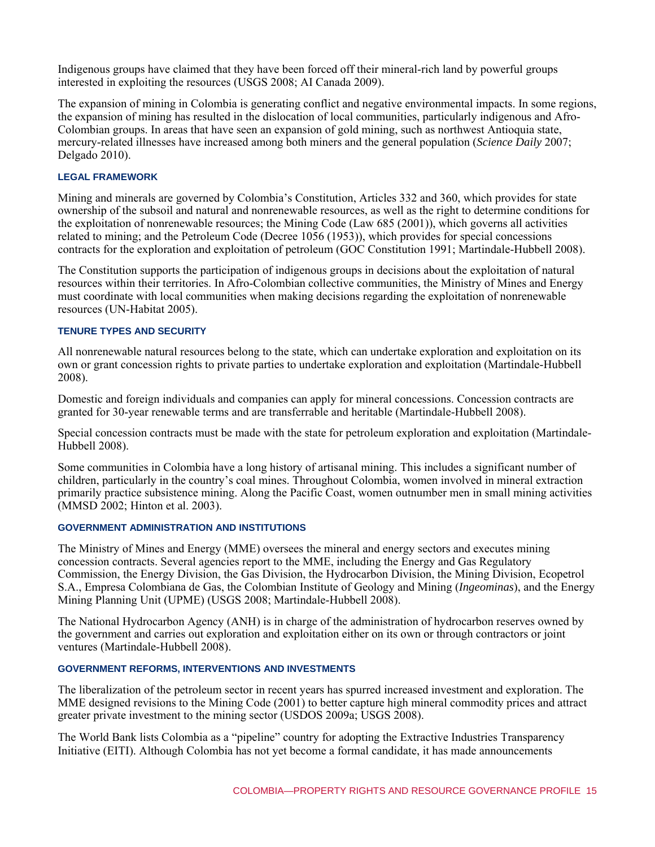Indigenous groups have claimed that they have been forced off their mineral-rich land by powerful groups interested in exploiting the resources (USGS 2008; AI Canada 2009).

The expansion of mining in Colombia is generating conflict and negative environmental impacts. In some regions, the expansion of mining has resulted in the dislocation of local communities, particularly indigenous and Afro-Colombian groups. In areas that have seen an expansion of gold mining, such as northwest Antioquia state, mercury-related illnesses have increased among both miners and the general population (*Science Daily* 2007; Delgado 2010).

# **LEGAL FRAMEWORK**

Mining and minerals are governed by Colombia's Constitution, Articles 332 and 360, which provides for state ownership of the subsoil and natural and nonrenewable resources, as well as the right to determine conditions for the exploitation of nonrenewable resources; the Mining Code (Law 685 (2001)), which governs all activities related to mining; and the Petroleum Code (Decree 1056 (1953)), which provides for special concessions contracts for the exploration and exploitation of petroleum (GOC Constitution 1991; Martindale-Hubbell 2008).

The Constitution supports the participation of indigenous groups in decisions about the exploitation of natural resources within their territories. In Afro-Colombian collective communities, the Ministry of Mines and Energy must coordinate with local communities when making decisions regarding the exploitation of nonrenewable resources (UN-Habitat 2005).

# **TENURE TYPES AND SECURITY**

All nonrenewable natural resources belong to the state, which can undertake exploration and exploitation on its own or grant concession rights to private parties to undertake exploration and exploitation (Martindale-Hubbell 2008).

Domestic and foreign individuals and companies can apply for mineral concessions. Concession contracts are granted for 30-year renewable terms and are transferrable and heritable (Martindale-Hubbell 2008).

Special concession contracts must be made with the state for petroleum exploration and exploitation (Martindale-Hubbell 2008).

Some communities in Colombia have a long history of artisanal mining. This includes a significant number of children, particularly in the country's coal mines. Throughout Colombia, women involved in mineral extraction primarily practice subsistence mining. Along the Pacific Coast, women outnumber men in small mining activities (MMSD 2002; Hinton et al. 2003).

#### **GOVERNMENT ADMINISTRATION AND INSTITUTIONS**

The Ministry of Mines and Energy (MME) oversees the mineral and energy sectors and executes mining concession contracts. Several agencies report to the MME, including the Energy and Gas Regulatory Commission, the Energy Division, the Gas Division, the Hydrocarbon Division, the Mining Division, Ecopetrol S.A., Empresa Colombiana de Gas, the Colombian Institute of Geology and Mining (*Ingeominas*), and the Energy Mining Planning Unit (UPME) (USGS 2008; Martindale-Hubbell 2008).

The National Hydrocarbon Agency (ANH) is in charge of the administration of hydrocarbon reserves owned by the government and carries out exploration and exploitation either on its own or through contractors or joint ventures (Martindale-Hubbell 2008).

#### **GOVERNMENT REFORMS, INTERVENTIONS AND INVESTMENTS**

The liberalization of the petroleum sector in recent years has spurred increased investment and exploration. The MME designed revisions to the Mining Code (2001) to better capture high mineral commodity prices and attract greater private investment to the mining sector (USDOS 2009a; USGS 2008).

The World Bank lists Colombia as a "pipeline" country for adopting the Extractive Industries Transparency Initiative (EITI). Although Colombia has not yet become a formal candidate, it has made announcements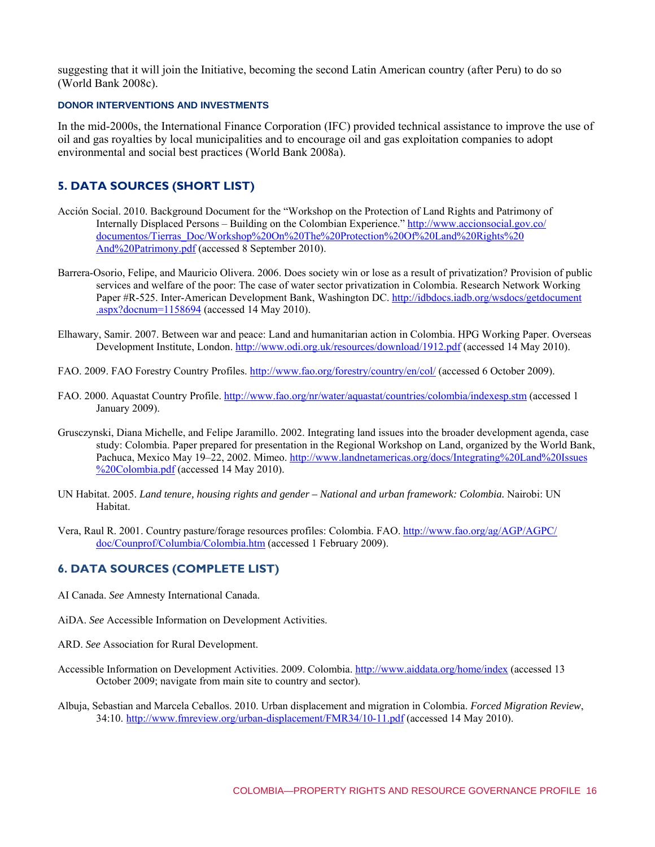suggesting that it will join the Initiative, becoming the second Latin American country (after Peru) to do so (World Bank 2008c).

# **DONOR INTERVENTIONS AND INVESTMENTS**

In the mid-2000s, the International Finance Corporation (IFC) provided technical assistance to improve the use of oil and gas royalties by local municipalities and to encourage oil and gas exploitation companies to adopt environmental and social best practices (World Bank 2008a).

# **5. DATA SOURCES (SHORT LIST)**

- Acción Social. 2010. Background Document for the "Workshop on the Protection of Land Rights and Patrimony of [Internally Displaced Persons – Building on the Colombian Experience." http://www.accionsocial.gov.co/](http://www.accionsocial.gov.co/documentos/Tierras_Doc/Workshop%20On%20The%20Protection%20Of%20Land%20Rights%20And%20Patrimony.pdf) documentos/Tierras\_Doc/Workshop%20On%20The%20Protection%20Of%20Land%20Rights%20 And%20Patrimony.pdf (accessed 8 September 2010).
- Barrera-Osorio, Felipe, and Mauricio Olivera. 2006. Does society win or lose as a result of privatization? Provision of public services and welfare of the poor: The case of water sector privatization in Colombia. Research Network Working [Paper #R-525. Inter-American Development Bank, Washington DC. http://idbdocs.iadb.org/wsdocs/getdocument](http://idbdocs.iadb.org/wsdocs/getdocument.aspx?docnum=1158694) .aspx?docnum=1158694 (accessed 14 May 2010).
- Elhawary, Samir. 2007. Between war and peace: Land and humanitarian action in Colombia. HPG Working Paper. Overseas Development Institute, London. http://www.odi.org.uk/resources/download/1912.pdf (accessed 14 May 2010).
- FAO. 2009. FAO Forestry Country Profiles. http://www.fao.org/forestry/country/en/col/ (accessed 6 October 2009).
- FAO. 2000. Aquastat Country Profile. http://www.fao.org/nr/water/aquastat/countries/colombia/indexesp.stm (accessed 1 January 2009).
- Grusczynski, Diana Michelle, and Felipe Jaramillo. 2002. Integrating land issues into the broader development agenda, case study: Colombia. Paper prepared for presentation in the Regional Workshop on Land, organized by the World Bank, [Pachuca, Mexico May 19–22, 2002. Mimeo. http://www.landnetamericas.org/docs/Integrating%20Land%20Issues](http://www.landnetamericas.org/docs/Integrating%20Land%20Issues%20Colombia.pdf) %20Colombia.pdf (accessed 14 May 2010).
- UN Habitat. 2005. *Land tenure, housing rights and gender National and urban framework: Colombia.* Nairobi: UN Habitat.
- Vera, Ra[ul R. 2001. Country pasture/forage resources profiles: Colombia. FAO. http://www.fao.org/ag/AGP/AGPC/](http://www.fao.org/ag/AGP/AGPC/doc/Counprof/Columbia/Colombia.htm) doc/Counprof/Columbia/Colombia.htm (accessed 1 February 2009).

# **6. DATA SOURCES (COMPLETE LIST)**

- AI Canada. *See* Amnesty International Canada.
- AiDA. *See* Accessible Information on Development Activities.
- ARD. *See* Association for Rural Development.
- Accessible Information on Development Activities. 2009. Colombia. http://www.aiddata.org/home/index (accessed 13 October 2009; navigate from main site to country and sector).
- Albuja, Sebastian and Marcela Ceballos. 2010. Urban displacement and migration in Colombia. *Forced Migration Review*, 34:10. http://www.fmreview.org/urban-displacement/FMR34/10-11.pdf (accessed 14 May 2010).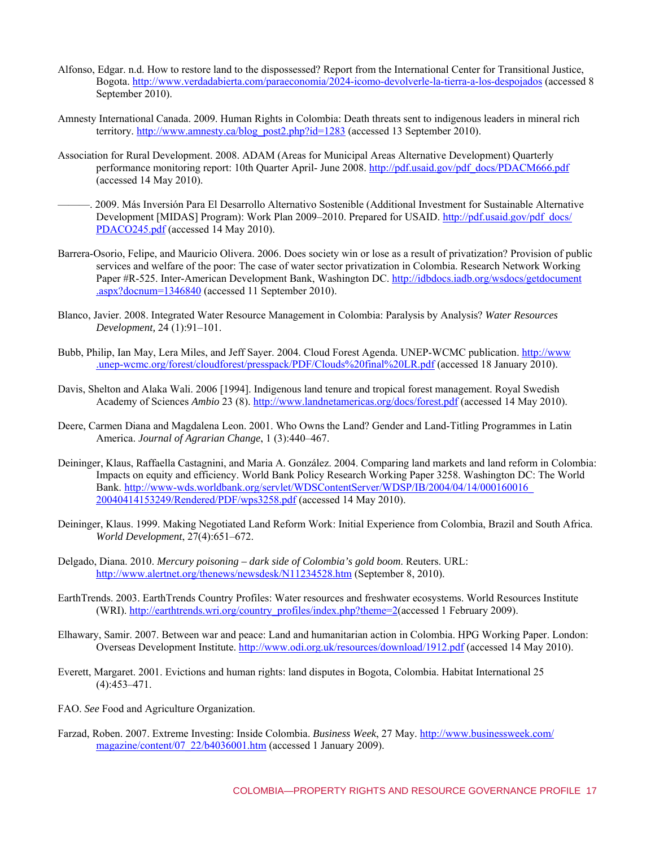- Alfonso, Edgar. n.d. How to restore land to the dispossessed? Report from the International Center for Transitional Justice, Bogota. http://www.verdadabierta.com/paraeconomia/2024-icomo-devolverle-la-tierra-a-los-despojados (accessed 8 September 2010).
- Amnesty International Canada. 2009. Human Rights in Colombia: Death threats sent to indigenous leaders in mineral rich territory. http://www.amnesty.ca/blog\_post2.php?id=1283 (accessed 13 September 2010).
- Association for Rural Development. 2008. ADAM (Areas for Municipal Areas Alternative Development) Quarterly performance monitoring report: 10th Quarter April- June 2008. http://pdf.usaid.gov/pdf\_docs/PDACM666.pdf (accessed 14 May 2010).
- ———. 2009. Más Inversión Para El Desarrollo Alternativo Sostenible (Additional Investment for Sustainable Alternative [Development \[MIDAS\] Program\): Work Plan 2009–2010. Prepared for USAID. http://pdf.usaid.gov/pdf\\_docs/](http://pdf.usaid.gov/pdf_docs/PDACO245.pdf) PDACO245.pdf (accessed 14 May 2010).
- Barrera-Osorio, Felipe, and Mauricio Olivera. 2006. Does society win or lose as a result of privatization? Provision of public services and welfare of the poor: The case of water sector privatization in Colombia. Research Network Working [Paper #R-525. Inter-American Development Bank, Washington DC. http://idbdocs.iadb.org/wsdocs/getdocument](http://idbdocs.iadb.org/wsdocs/getdocument.aspx?docnum=1346840) .aspx?docnum=1346840 (accessed 11 September 2010).
- Blanco, Javier. 2008. Integrated Water Resource Management in Colombia: Paralysis by Analysis? *Water Resources Development,* 24 (1):91–101.
- Bubb, P[hilip, Ian May, Lera Miles, and Jeff Sayer. 2004. Cloud Forest Agenda. UNEP-WCMC publication. http://www](http://www.unep-wcmc.org/forest/cloudforest/presspack/PDF/Clouds%20final%20LR.pdf) .unep-wcmc.org/forest/cloudforest/presspack/PDF/Clouds%20final%20LR.pdf (accessed 18 January 2010).
- Davis, Shelton and Alaka Wali. 2006 [1994]. Indigenous land tenure and tropical forest management. Royal Swedish Academy of Sciences *Ambio* 23 (8). http://www.landnetamericas.org/docs/forest.pdf (accessed 14 May 2010).
- Deere, Carmen Diana and Magdalena Leon. 2001. Who Owns the Land? Gender and Land-Titling Programmes in Latin America. *Journal of Agrarian Change*, 1 (3):440–467.
- Deininger, Klaus, Raffaella Castagnini, and Maria A. González. 2004. Comparing land markets and land reform in Colombia: Impacts on equity and efficiency. World Bank Policy Research Working Paper 3258. Washington DC: The World Bank. http://www-wds.worldbank.org/servlet/WDSContentServer/WDSP/IB/2004/04/14/000160016 20040414153249/Rendered/PDF/wps3258.pdf (accessed 14 May 2010).
- Deininger, Klaus. 1999. Making Negotiated Land Reform Work: Initial Experience from Colombia, Brazil and South Africa. *World Development*, 27(4):651–672.
- Delgado, Diana. 2010. *Mercury poisoning dark side of Colombia's gold boom*. Reuters. URL: http://www.alertnet.org/thenews/newsdesk/N11234528.htm (September 8, 2010).
- EarthTrends. 2003. EarthTrends Country Profiles: Water resources and freshwater ecosystems. World Resources Institute (WRI). http://earthtrends.wri.org/country\_profiles/index.php?theme=2(accessed 1 February 2009).
- Elhawary, Samir. 2007. Between war and peace: Land and humanitarian action in Colombia. HPG Working Paper. London: Overseas Development Institute. http://www.odi.org.uk/resources/download/1912.pdf (accessed 14 May 2010).
- Everett, Margaret. 2001. Evictions and human rights: land disputes in Bogota, Colombia. Habitat International 25 (4):453–471.
- FAO. *See* Food and Agriculture Organization.
- Farzad, Roben. 2007. Extreme Investing: Inside Colombia. *Business Week*, 27 May. http://www.businessweek.com/ magazine/content/07\_22/b4036001.htm (accessed 1 January 2009).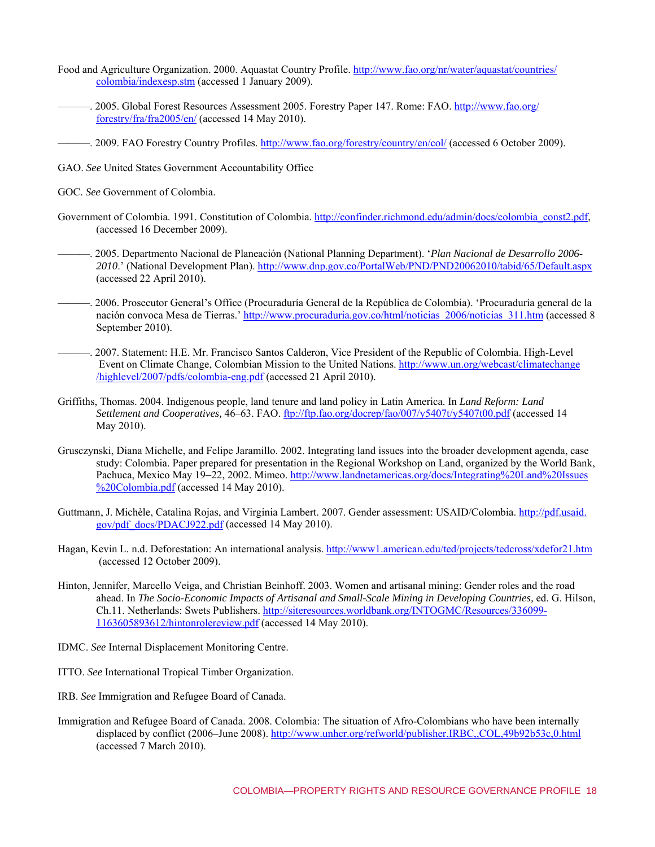- Food an[d Agriculture Organization. 2000. Aquastat Country Profile. http://www.fao.org/nr/water/aquastat/countries/](http://www.fao.org/nr/water/aquastat/countries/colombia/indexesp.stm) colombia/indexesp.stm (accessed 1 January 2009).
- ——. [2005. Global Forest Resources Assessment 2005. Forestry Paper 147. Rome: FAO. http://www.fao.org/](http://www.fao.org/forestry/fra/fra2005/en/) forestry/fra/fra2005/en/ (accessed 14 May 2010).
- ———. 2009. FAO Forestry Country Profiles. http://www.fao.org/forestry/country/en/col/ (accessed 6 October 2009).
- GAO. *See* United States Government Accountability Office
- GOC. *See* Government of Colombia.
- Government of Colombia. 1991. Constitution of Colombia. http://confinder.richmond.edu/admin/docs/colombia\_const2.pdf, (accessed 16 December 2009).
- ———. 2005. Departmento Nacional de Planeación (National Planning Department). '*Plan Nacional de Desarrollo 2006- 2010*.' (National Development Plan). http://www.dnp.gov.co/PortalWeb/PND/PND20062010/tabid/65/Default.aspx (accessed 22 April 2010).
- ———. 2006. Prosecutor General's Office (Procuraduría General de la República de Colombia). 'Procuraduría general de la nación convoca Mesa de Tierras.' http://www.procuraduria.gov.co/html/noticias\_2006/noticias\_311.htm (accessed 8 September 2010).
- ———. 2007. Statement: H.E. Mr. Francisco Santos Calderon, Vice President of the Republic of Colombia. High-Level  [Event on Climate Change, Colombian Mission to the United Nations. http://www.un.org/webcast/climatechange](http://www.un.org/webcast/climatechange/highlevel/2007/pdfs/colombia-eng.pdf) /highlevel/2007/pdfs/colombia-eng.pdf (accessed 21 April 2010).
- Griffiths, Thomas. 2004. Indigenous people, land tenure and land policy in Latin America. In *Land Reform: Land Settlement and Cooperatives,* 46–63. FAO. ftp://ftp.fao.org/docrep/fao/007/y5407t/y5407t00.pdf (accessed 14 May 2010).
- Grusczynski, Diana Michelle, and Felipe Jaramillo. 2002. Integrating land issues into the broader development agenda, case study: Colombia. Paper prepared for presentation in the Regional Workshop on Land, organized by the World Bank, Pachuca, Mexico May 19–[22, 2002. Mimeo. http://www.landnetamericas.org/docs/Integrating%20Land%20Issues](http://www.landnetamericas.org/docs/Integrating%20Land%20Issues%20Colombia.pdf) %20Colombia.pdf (accessed 14 May 2010).
- Guttman[n, J. Michèle, Catalina Rojas, and Virginia Lambert. 2007. Gender assessment: USAID/Colombia. http://pdf.usaid.](http://pdf.usaid.gov/pdf_docs/PDACJ922.pdf) gov/pdf\_docs/PDACJ922.pdf (accessed 14 May 2010).
- Hagan, Kevin L. n.d. Deforestation: An international analysis. http://www1.american.edu/ted/projects/tedcross/xdefor21.htm (accessed 12 October 2009).
- Hinton, Jennifer, Marcello Veiga, and Christian Beinhoff. 2003. Women and artisanal mining: Gender roles and the road ahead. In *The Socio-Economic Impacts of Artisanal and Small-Scale Mining in Developing Countries,* ed. G. Hilson, Ch.11. Netherlands: Swets Publishers. http://siteresources.worldbank.org/INTOGMC/Resources/336099- 1163605893612/hintonrolereview.pdf (accessed 14 May 2010).
- IDMC. *See* Internal Displacement Monitoring Centre.
- ITTO. *See* International Tropical Timber Organization.
- IRB. *See* Immigration and Refugee Board of Canada.
- Immigration and Refugee Board of Canada. 2008. Colombia: The situation of Afro-Colombians who have been internally displaced by conflict (2006–June 2008). http://www.unhcr.org/refworld/publisher,IRBC,,COL,49b92b53c,0.html (accessed 7 March 2010).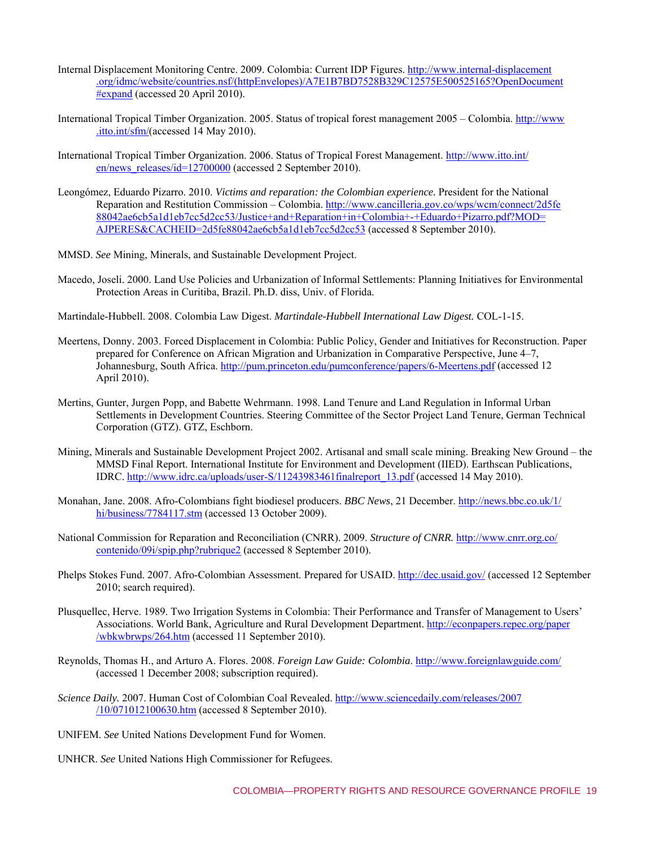- Internal Displacement Monitoring Centre. 2009. Colombia: Current IDP Figures. http://www.internal-displacement [.org/idmc/website/countries.nsf/\(httpEnvelopes\)/A7E1B7BD7528B329C12575E500525165?OpenDocument](http://www.internal-displacement.org/idmc/website/countries.nsf/(httpEnvelopes)/A7E1B7BD7528B329C12575E500525165?OpenDocument#expand) **#expand** (accessed 20 April 2010).
- Internati[onal Tropical Timber Organization. 2005. Status of tropical forest management 2005 Colombia. http://www](http://www.itto.int/sfm/) .itto.int/sfm/(accessed 14 May 2010).
- Internati[onal Tropical Timber Organization. 2006. Status of Tropical Forest Management. http://www.itto.int/](http://www.itto.int/en/news_releases/id=12700000) en/news\_releases/id=12700000 (accessed 2 September 2010).
- Leongómez, Eduardo Pizarro. 2010. *Victims and reparation: the Colombian experience.* President for the National [Reparation and Restitution Commission – Colombia. http://www.cancilleria.gov.co/wps/wcm/connect/2d5fe](http://www.cancilleria.gov.co/wps/wcm/connect/2d5fe88042ae6cb5a1d1eb7cc5d2cc53/Justice+and+Reparation+in+Colombia+-+Eduardo+Pizarro.pdf?MOD=AJPERES&CACHEID=2d5fe88042ae6cb5a1d1eb7cc5d2cc53) 88042ae6cb5a1d1eb7cc5d2cc53/Justice+and+Reparation+in+Colombia+-+Eduardo+Pizarro.pdf?MOD= AJPERES&CACHEID=2d5fe88042ae6cb5a1d1eb7cc5d2cc53 (accessed 8 September 2010).
- MMSD. *See* Mining, Minerals, and Sustainable Development Project.
- Macedo, Joseli. 2000. Land Use Policies and Urbanization of Informal Settlements: Planning Initiatives for Environmental Protection Areas in Curitiba, Brazil. Ph.D. diss, Univ. of Florida.
- Martindale-Hubbell. 2008. Colombia Law Digest. *Martindale-Hubbell International Law Digest.* COL-1-15.
- Meertens, Donny. 2003. Forced Displacement in Colombia: Public Policy, Gender and Initiatives for Reconstruction. Paper prepared for Conference on African Migration and Urbanization in Comparative Perspective, June 4–7, Johannesburg, South Africa. http://pum.princeton.edu/pumconference/papers/6-Meertens.pdf (accessed 12) April 2010).
- Mertins, Gunter, Jurgen Popp, and Babette Wehrmann. 1998. Land Tenure and Land Regulation in Informal Urban Settlements in Development Countries. Steering Committee of the Sector Project Land Tenure, German Technical Corporation (GTZ). GTZ, Eschborn.
- Mining, Minerals and Sustainable Development Project 2002. Artisanal and small scale mining. Breaking New Ground the MMSD Final Report. International Institute for Environment and Development (IIED). Earthscan Publications, IDRC. http://www.idrc.ca/uploads/user-S/11243983461finalreport\_13.pdf (accessed 14 May 2010).
- Monaha[n, Jane. 2008. Afro-Colombians fight biodiesel producers.](http://news.bbc.co.uk/1/hi/business/7784117.stm) *BBC News*, 21 December. http://news.bbc.co.uk/1/ hi/business/7784117.stm (accessed 13 October 2009).
- National Commission for Reparation and Reconciliation (CNRR). 2009. *Structure of CNRR.* http://www.cnrr.org.co/ [contenido/09i/spip.php?rubrique2 \(accessed 8 September 2010\).](http://www.cnrr.org.co/contenido/09i/spip.php?rubrique2)
- Phelps Stokes Fund. 2007. Afro-Colombian Assessment. Prepared for USAID. http://dec.usaid.gov/ (accessed 12 September 2010; search required).
- Plusquellec, Herve. 1989. Two Irrigation Systems in Colombia: Their Performance and Transfer of Management to Users' Associations. [World Bank, Agriculture and Rural Development Department. http://econpapers.repec.org/paper](http://econpapers.repec.org/paper/wbkwbrwps/264.htm) /wbkwbrwps/264.htm (accessed 11 September 2010).
- Reynolds, Thomas H., and Arturo A. Flores. 2008. *Foreign Law Guide: Colombia*. http://www.foreignlawguide.com/ (accessed 1 December 2008; subscription required).
- *Science Daily.* [2007. Human Cost of Colombian Coal Revealed. http://www.sciencedaily.com/releases/2007](http://www.sciencedaily.com/releases/2007/10/071012100630.htm) /10/071012100630.htm (accessed 8 September 2010).
- UNIFEM. *See* United Nations Development Fund for Women.
- UNHCR. *See* United Nations High Commissioner for Refugees.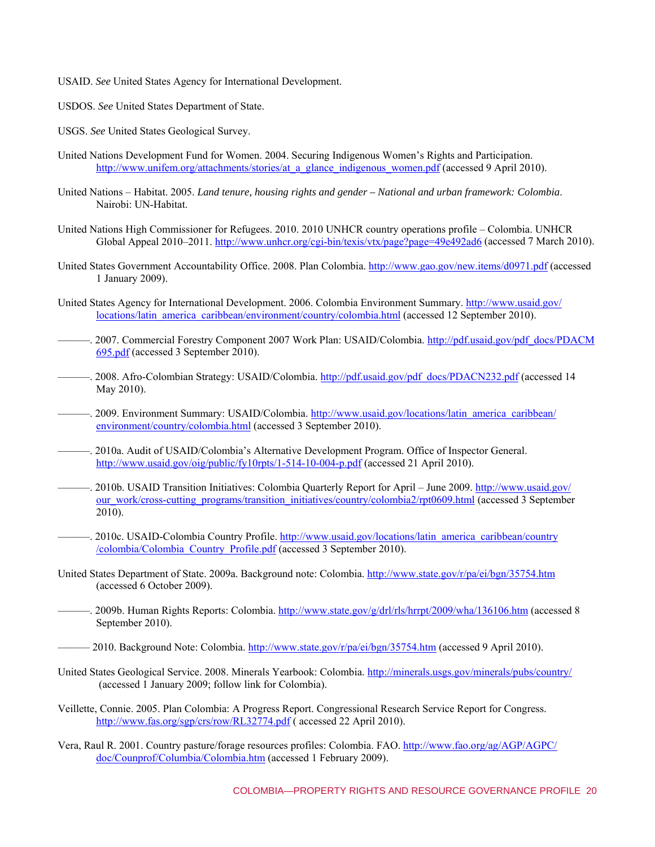- USAID. *See* United States Agency for International Development.
- USDOS. *See* United States Department of State.
- USGS. *See* United States Geological Survey.
- United Nations Development Fund for Women. 2004. Securing Indigenous Women's Rights and Participation. http://www.unifem.org/attachments/stories/at\_a\_glance\_indigenous\_women.pdf (accessed 9 April 2010).
- United Nations Habitat. 2005. *Land tenure, housing rights and gender National and urban framework: Colombia*. Nairobi: UN-Habitat.
- United Nations High Commissioner for Refugees. 2010. 2010 UNHCR country operations profile Colombia. UNHCR Global Appeal 2010–2011. http://www.unhcr.org/cgi-bin/texis/vtx/page?page=49e492ad6 (accessed 7 March 2010).
- United States Government Accountability Office. 2008. Plan Colombia. http://www.gao.gov/new.items/d0971.pdf (accessed 1 January 2009).
- United S[tates Agency for International Development. 2006. Colombia Environment Summary. http://www.usaid.gov/](http://www.usaid.gov/locations/latin_america_caribbean/environment/country/colombia.html) locations/latin\_america\_caribbean/environment/country/colombia.html (accessed 12 September 2010).
- —. 2007. Commercial Forestry Component 2007 Work Plan: USAID/Colombia. http://pdf.usaid.gov/pdf\_docs/PDACM 695.pdf (accessed 3 September 2010).
- ----. 2008. Afro-Colombian Strategy: USAID/Colombia. http://pdf.usaid.gov/pdf\_docs/PDACN232.pdf (accessed 14 May 2010).
- ——. [2009. Environment Summary: USAID/Colombia. http://www.usaid.gov/locations/latin\\_america\\_caribbean/](http://www.usaid.gov/locations/latin_america_caribbean/environment/country/colombia.html) environment/country/colombia.html (accessed 3 September 2010).
- ———. 2010a. Audit of USAID/Colombia's Alternative Development Program. Office of Inspector General. http://www.usaid.gov/oig/public/fy10rpts/1-514-10-004-p.pdf (accessed 21 April 2010).
- ——. 2010b. USAID Transition Initiatives: Colombia Quarterly Report for April June 2009. http://www.usaid.gov/ [our\\_work/cross-cutting\\_programs/transition\\_initiatives/country/colombia2/rpt0609.html \(accessed 3 Septembe](http://www.usaid.gov/our_work/cross-cutting_programs/transition_initiatives/country/colombia2/rpt0609.html)r  $2010$ ).
	- —–. [2010c. USAID-Colombia Country Profile. http://www.usaid.gov/locations/latin\\_america\\_caribbean/country](http://www.usaid.gov/locations/latin_america_caribbean/country/colombia/Colombia_Country_Profile.pdf) /colombia/Colombia\_Country\_Profile.pdf (accessed 3 September 2010).
- United States Department of State. 2009a. Background note: Colombia. http://www.state.gov/r/pa/ei/bgn/35754.htm (accessed 6 October 2009).
- —. 2009b. Human Rights Reports: Colombia. http://www.state.gov/g/drl/rls/hrrpt/2009/wha/136106.htm (accessed 8 September 2010).
- -2010. Background Note: Colombia. http://www.state.gov/r/pa/ei/bgn/35754.htm (accessed 9 April 2010).
- United States Geological Service. 2008. Minerals Yearbook: Colombia. http://minerals.usgs.gov/minerals/pubs/country/ (accessed 1 January 2009; follow link for Colombia).
- Veillette, Connie. 2005. Plan Colombia: A Progress Report. Congressional Research Service Report for Congress. http://www.fas.org/sgp/crs/row/RL32774.pdf (accessed 22 April 2010).
- Vera, Ra[ul R. 2001. Country pasture/forage resources profiles: Colombia. FAO. http://www.fao.org/ag/AGP/AGPC/](http://www.fao.org/ag/AGP/AGPC/doc/Counprof/Columbia/Colombia.htm) doc/Counprof/Columbia/Colombia.htm (accessed 1 February 2009).